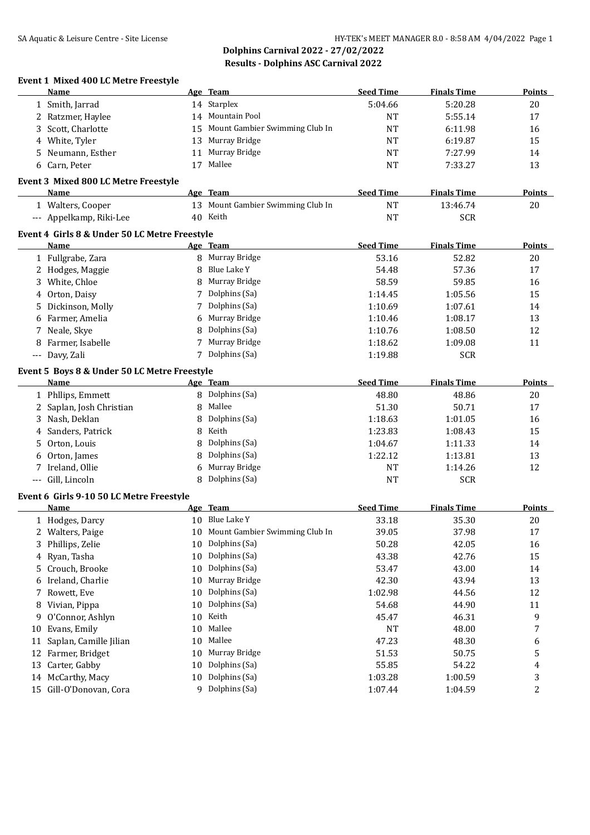#### **Event 1 Mixed 400 LC Metre Freestyle**

|    | <b>Name</b>                                   |        | Age Team                          | <b>Seed Time</b> | <b>Finals Time</b> | <b>Points</b>  |
|----|-----------------------------------------------|--------|-----------------------------------|------------------|--------------------|----------------|
|    | 1 Smith, Jarrad                               |        | 14 Starplex                       | 5:04.66          | 5:20.28            | 20             |
|    | 2 Ratzmer, Haylee                             |        | 14 Mountain Pool                  | NT               | 5:55.14            | 17             |
| 3  | Scott, Charlotte                              | 15     | Mount Gambier Swimming Club In    | NT               | 6:11.98            | 16             |
| 4  | White, Tyler                                  | 13     | Murray Bridge                     | <b>NT</b>        | 6:19.87            | 15             |
| 5. | Neumann, Esther                               | 11     | Murray Bridge                     | <b>NT</b>        | 7:27.99            | 14             |
|    | 6 Carn, Peter                                 | 17     | Mallee                            | <b>NT</b>        | 7:33.27            | 13             |
|    |                                               |        |                                   |                  |                    |                |
|    | Event 3 Mixed 800 LC Metre Freestyle          |        |                                   |                  |                    |                |
|    | Name                                          |        | Age Team                          | <b>Seed Time</b> | <b>Finals Time</b> | <b>Points</b>  |
|    | 1 Walters, Cooper                             |        | 13 Mount Gambier Swimming Club In | <b>NT</b>        | 13:46.74           | 20             |
|    | --- Appelkamp, Riki-Lee                       |        | 40 Keith                          | <b>NT</b>        | <b>SCR</b>         |                |
|    | Event 4 Girls 8 & Under 50 LC Metre Freestyle |        |                                   |                  |                    |                |
|    | Name                                          |        | Age Team                          | <b>Seed Time</b> | <b>Finals Time</b> | <b>Points</b>  |
|    | 1 Fullgrabe, Zara                             |        | 8 Murray Bridge                   | 53.16            | 52.82              | 20             |
|    | 2 Hodges, Maggie                              | 8      | Blue Lake Y                       | 54.48            | 57.36              | 17             |
|    | 3 White, Chloe                                | 8      | Murray Bridge                     | 58.59            | 59.85              | 16             |
| 4  | Orton, Daisy                                  | 7      | Dolphins (Sa)                     | 1:14.45          | 1:05.56            | 15             |
| 5. | Dickinson, Molly                              | 7      | Dolphins (Sa)                     | 1:10.69          | 1:07.61            | 14             |
| 6  | Farmer, Amelia                                | 6      | Murray Bridge                     | 1:10.46          | 1:08.17            | 13             |
| 7  | Neale, Skye                                   | 8      | Dolphins (Sa)                     | 1:10.76          | 1:08.50            | 12             |
| 8  | Farmer, Isabelle                              | 7      | Murray Bridge                     | 1:18.62          | 1:09.08            | 11             |
|    | --- Davy, Zali                                |        | 7 Dolphins (Sa)                   | 1:19.88          | <b>SCR</b>         |                |
|    |                                               |        |                                   |                  |                    |                |
|    | Event 5 Boys 8 & Under 50 LC Metre Freestyle  |        |                                   |                  |                    |                |
|    | Name                                          |        | Age Team                          | <b>Seed Time</b> | <b>Finals Time</b> | <b>Points</b>  |
|    | 1 Phllips, Emmett                             |        | 8 Dolphins (Sa)                   | 48.80            | 48.86              | 20             |
|    | 2 Saplan, Josh Christian                      | $\, 8$ | Mallee                            | 51.30            | 50.71              | 17             |
|    | 3 Nash, Deklan                                | 8      | Dolphins (Sa)                     | 1:18.63          | 1:01.05            | 16             |
| 4  | Sanders, Patrick                              | 8      | Keith                             | 1:23.83          | 1:08.43            | 15             |
| 5. | Orton, Louis                                  | 8      | Dolphins (Sa)                     | 1:04.67          | 1:11.33            | 14             |
| 6  | Orton, James                                  | 8      | Dolphins (Sa)                     | 1:22.12          | 1:13.81            | 13             |
| 7  | Ireland, Ollie                                | 6      | Murray Bridge                     | NT               | 1:14.26            | 12             |
|    | --- Gill, Lincoln                             | 8      | Dolphins (Sa)                     | NT               | <b>SCR</b>         |                |
|    | Event 6 Girls 9-10 50 LC Metre Freestyle      |        |                                   |                  |                    |                |
|    | Name                                          |        | Age Team                          | <b>Seed Time</b> | <b>Finals Time</b> | <b>Points</b>  |
|    | 1 Hodges, Darcy                               |        | 10 Blue Lake Y                    | 33.18            | 35.30              | 20             |
|    | 2 Walters, Paige                              |        | 10 Mount Gambier Swimming Club In | 39.05            | 37.98              | 17             |
|    |                                               | 10     | Dolphins (Sa)                     | 50.28            | 42.05              |                |
| 3. | Phillips, Zelie                               |        | Dolphins (Sa)                     |                  |                    | 16             |
| 4  | Ryan, Tasha                                   | 10     | Dolphins (Sa)                     | 43.38            | 42.76              | 15             |
| 5. | Crouch, Brooke                                | 10     |                                   | 53.47            | 43.00              | 14             |
| 6  | Ireland, Charlie                              | 10     | Murray Bridge                     | 42.30            | 43.94              | 13             |
| 7  | Rowett, Eve                                   | 10     | Dolphins (Sa)                     | 1:02.98          | 44.56              | 12             |
| 8  | Vivian, Pippa                                 | 10     | Dolphins (Sa)                     | 54.68            | 44.90              | 11             |
| 9  | O'Connor, Ashlyn                              | 10     | Keith                             | 45.47            | 46.31              | 9              |
| 10 | Evans, Emily                                  | 10     | Mallee                            | <b>NT</b>        | 48.00              | 7              |
| 11 | Saplan, Camille Jilian                        | 10     | Mallee                            | 47.23            | 48.30              | 6              |
|    | 12 Farmer, Bridget                            | 10     | Murray Bridge                     | 51.53            | 50.75              | 5              |
|    | 13 Carter, Gabby                              | 10     | Dolphins (Sa)                     | 55.85            | 54.22              | 4              |
|    | 14 McCarthy, Macy                             | 10     | Dolphins (Sa)                     | 1:03.28          | 1:00.59            | 3              |
|    | 15 Gill-O'Donovan, Cora                       |        | 9 Dolphins (Sa)                   | 1:07.44          | 1:04.59            | $\overline{c}$ |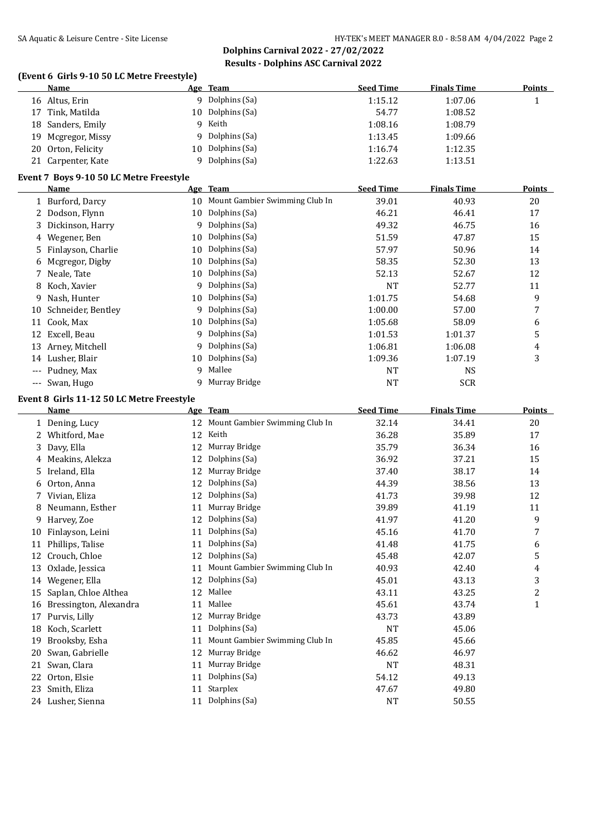**Dolphins Carnival 2022 - 27/02/2022 Results - Dolphins ASC Carnival 2022**

#### **(Event 6 Girls 9-10 50 LC Metre Freestyle)**

| Name               | Age Team         | <b>Seed Time</b> | <b>Finals Time</b> | Points |
|--------------------|------------------|------------------|--------------------|--------|
| 16 Altus, Erin     | 9 Dolphins (Sa)  | 1:15.12          | 1:07.06            |        |
| 17 Tink, Matilda   | 10 Dolphins (Sa) | 54.77            | 1:08.52            |        |
| 18 Sanders, Emily  | 9 Keith          | 1:08.16          | 1:08.79            |        |
| 19 Mcgregor, Missy | 9 Dolphins (Sa)  | 1:13.45          | 1:09.66            |        |
| 20 Orton, Felicity | 10 Dolphins (Sa) | 1:16.74          | 1:12.35            |        |
| 21 Carpenter, Kate | Dolphins (Sa)    | 1:22.63          | 1:13.51            |        |

## **Event 7 Boys 9-10 50 LC Metre Freestyle**

|       | Name                 |    | Age Team                       | <b>Seed Time</b> | <b>Finals Time</b> | <b>Points</b> |
|-------|----------------------|----|--------------------------------|------------------|--------------------|---------------|
|       | 1 Burford, Darcy     | 10 | Mount Gambier Swimming Club In | 39.01            | 40.93              | 20            |
|       | 2 Dodson, Flynn      | 10 | Dolphins (Sa)                  | 46.21            | 46.41              | 17            |
|       | 3 Dickinson, Harry   | 9  | Dolphins (Sa)                  | 49.32            | 46.75              | 16            |
|       | 4 Wegener, Ben       | 10 | Dolphins (Sa)                  | 51.59            | 47.87              | 15            |
|       | 5 Finlayson, Charlie | 10 | Dolphins (Sa)                  | 57.97            | 50.96              | 14            |
|       | 6 Mcgregor, Digby    | 10 | Dolphins (Sa)                  | 58.35            | 52.30              | 13            |
|       | 7 Neale, Tate        | 10 | Dolphins (Sa)                  | 52.13            | 52.67              | 12            |
|       | 8 Koch, Xavier       |    | 9 Dolphins (Sa)                | <b>NT</b>        | 52.77              | 11            |
| 9     | Nash, Hunter         | 10 | Dolphins (Sa)                  | 1:01.75          | 54.68              | 9             |
| 10    | Schneider, Bentley   | 9  | Dolphins (Sa)                  | 1:00.00          | 57.00              | 7             |
| 11    | Cook, Max            | 10 | Dolphins (Sa)                  | 1:05.68          | 58.09              | 6             |
| 12    | Excell, Beau         | 9  | Dolphins (Sa)                  | 1:01.53          | 1:01.37            | 5             |
|       | 13 Arney, Mitchell   | 9  | Dolphins (Sa)                  | 1:06.81          | 1:06.08            | 4             |
| 14    | Lusher, Blair        | 10 | Dolphins (Sa)                  | 1:09.36          | 1:07.19            | 3             |
| $---$ | Pudney, Max          | 9  | Mallee                         | <b>NT</b>        | <b>NS</b>          |               |
| $---$ | Swan, Hugo           | 9  | Murray Bridge                  | NT               | <b>SCR</b>         |               |

## **Event 8 Girls 11-12 50 LC Metre Freestyle**

|    | Name                   |    | Age Team                       | <b>Seed Time</b> | <b>Finals Time</b> | Points         |
|----|------------------------|----|--------------------------------|------------------|--------------------|----------------|
|    | 1 Dening, Lucy         | 12 | Mount Gambier Swimming Club In | 32.14            | 34.41              | 20             |
| 2. | Whitford, Mae          | 12 | Keith                          | 36.28            | 35.89              | 17             |
| 3. | Davy, Ella             | 12 | Murray Bridge                  | 35.79            | 36.34              | 16             |
| 4  | Meakins, Alekza        | 12 | Dolphins (Sa)                  | 36.92            | 37.21              | 15             |
| 5. | Ireland, Ella          | 12 | Murray Bridge                  | 37.40            | 38.17              | 14             |
| 6  | Orton, Anna            | 12 | Dolphins (Sa)                  | 44.39            | 38.56              | 13             |
| 7. | Vivian, Eliza          | 12 | Dolphins (Sa)                  | 41.73            | 39.98              | 12             |
| 8  | Neumann, Esther        | 11 | Murray Bridge                  | 39.89            | 41.19              | 11             |
| 9  | Harvey, Zoe            | 12 | Dolphins (Sa)                  | 41.97            | 41.20              | 9              |
| 10 | Finlayson, Leini       | 11 | Dolphins (Sa)                  | 45.16            | 41.70              | 7              |
| 11 | Phillips, Talise       | 11 | Dolphins (Sa)                  | 41.48            | 41.75              | 6              |
| 12 | Crouch, Chloe          | 12 | Dolphins (Sa)                  | 45.48            | 42.07              | 5              |
| 13 | Oxlade, Jessica        | 11 | Mount Gambier Swimming Club In | 40.93            | 42.40              | 4              |
| 14 | Wegener, Ella          | 12 | Dolphins (Sa)                  | 45.01            | 43.13              | 3              |
| 15 | Saplan, Chloe Althea   | 12 | Mallee                         | 43.11            | 43.25              | $\overline{c}$ |
| 16 | Bressington, Alexandra | 11 | Mallee                         | 45.61            | 43.74              | $\mathbf{1}$   |
| 17 | Purvis, Lilly          | 12 | Murray Bridge                  | 43.73            | 43.89              |                |
| 18 | Koch, Scarlett         | 11 | Dolphins (Sa)                  | <b>NT</b>        | 45.06              |                |
| 19 | Brooksby, Esha         | 11 | Mount Gambier Swimming Club In | 45.85            | 45.66              |                |
| 20 | Swan, Gabrielle        | 12 | Murray Bridge                  | 46.62            | 46.97              |                |
| 21 | Swan, Clara            | 11 | Murray Bridge                  | <b>NT</b>        | 48.31              |                |
| 22 | Orton, Elsie           | 11 | Dolphins (Sa)                  | 54.12            | 49.13              |                |
| 23 | Smith, Eliza           | 11 | Starplex                       | 47.67            | 49.80              |                |
|    | 24 Lusher, Sienna      | 11 | Dolphins (Sa)                  | <b>NT</b>        | 50.55              |                |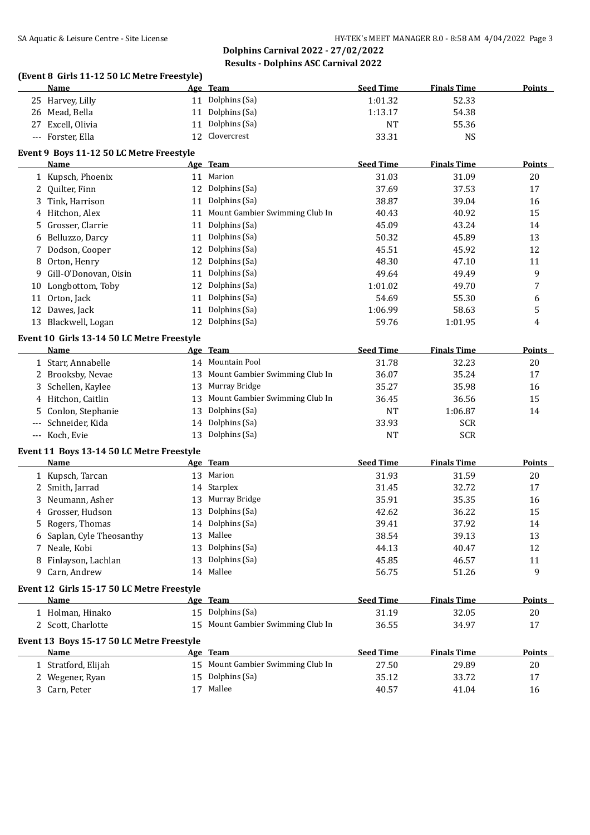**Dolphins Carnival 2022 - 27/02/2022 Results - Dolphins ASC Carnival 2022**

# **(Event 8 Girls 11-12 50 LC Metre Freestyle)**

|              | Name                                       |    | Age Team                          | <b>Seed Time</b> | <b>Finals Time</b> | <b>Points</b> |
|--------------|--------------------------------------------|----|-----------------------------------|------------------|--------------------|---------------|
|              | 25 Harvey, Lilly                           | 11 | Dolphins (Sa)                     | 1:01.32          | 52.33              |               |
|              | 26 Mead, Bella                             | 11 | Dolphins (Sa)                     | 1:13.17          | 54.38              |               |
| 27           | Excell, Olivia                             | 11 | Dolphins (Sa)                     | <b>NT</b>        | 55.36              |               |
|              | --- Forster, Ella                          | 12 | Clovercrest                       | 33.31            | <b>NS</b>          |               |
|              | Event 9 Boys 11-12 50 LC Metre Freestyle   |    |                                   |                  |                    |               |
|              | Name                                       |    | Age Team                          | <b>Seed Time</b> | <b>Finals Time</b> | Points        |
|              | 1 Kupsch, Phoenix                          | 11 | Marion                            | 31.03            | 31.09              | 20            |
|              | 2 Quilter, Finn                            | 12 | Dolphins (Sa)                     | 37.69            | 37.53              | 17            |
| 3            | Tink, Harrison                             | 11 | Dolphins (Sa)                     | 38.87            | 39.04              | 16            |
| 4            | Hitchon, Alex                              | 11 | Mount Gambier Swimming Club In    | 40.43            | 40.92              | 15            |
| 5.           | Grosser, Clarrie                           | 11 | Dolphins (Sa)                     | 45.09            | 43.24              | 14            |
| 6            | Belluzzo, Darcy                            | 11 | Dolphins (Sa)                     | 50.32            | 45.89              | 13            |
| 7            | Dodson, Cooper                             | 12 | Dolphins (Sa)                     | 45.51            | 45.92              | 12            |
|              |                                            | 12 | Dolphins (Sa)                     | 48.30            |                    |               |
| 8            | Orton, Henry                               |    |                                   |                  | 47.10              | 11            |
| 9            | Gill-O'Donovan, Oisin                      | 11 | Dolphins (Sa)                     | 49.64            | 49.49              | 9             |
|              | 10 Longbottom, Toby                        | 12 | Dolphins (Sa)                     | 1:01.02          | 49.70              | 7             |
| 11           | Orton, Jack                                | 11 | Dolphins (Sa)                     | 54.69            | 55.30              | 6             |
|              | 12 Dawes, Jack                             | 11 | Dolphins (Sa)                     | 1:06.99          | 58.63              | 5             |
|              | 13 Blackwell, Logan                        | 12 | Dolphins (Sa)                     | 59.76            | 1:01.95            | 4             |
|              | Event 10 Girls 13-14 50 LC Metre Freestyle |    |                                   |                  |                    |               |
|              | Name                                       |    | Age Team                          | <b>Seed Time</b> | <b>Finals Time</b> | <b>Points</b> |
|              | 1 Starr, Annabelle                         |    | 14 Mountain Pool                  | 31.78            | 32.23              | 20            |
|              | 2 Brooksby, Nevae                          | 13 | Mount Gambier Swimming Club In    | 36.07            | 35.24              | 17            |
| 3            | Schellen, Kaylee                           | 13 | Murray Bridge                     | 35.27            | 35.98              | 16            |
|              | 4 Hitchon, Caitlin                         | 13 | Mount Gambier Swimming Club In    | 36.45            | 36.56              | 15            |
| 5            | Conlon, Stephanie                          | 13 | Dolphins (Sa)                     | <b>NT</b>        | 1:06.87            | 14            |
| ---          | Schneider, Kida                            | 14 | Dolphins (Sa)                     | 33.93            | <b>SCR</b>         |               |
|              | --- Koch, Evie                             | 13 | Dolphins (Sa)                     | <b>NT</b>        | <b>SCR</b>         |               |
|              | Event 11 Boys 13-14 50 LC Metre Freestyle  |    |                                   |                  |                    |               |
|              | Name                                       |    | Age Team                          | <b>Seed Time</b> | <b>Finals Time</b> | Points        |
|              | 1 Kupsch, Tarcan                           | 13 | Marion                            | 31.93            | 31.59              | 20            |
| $\mathbf{2}$ | Smith, Jarrad                              | 14 | Starplex                          | 31.45            | 32.72              | 17            |
| 3            | Neumann, Asher                             | 13 | Murray Bridge                     | 35.91            | 35.35              | 16            |
| 4            | Grosser, Hudson                            | 13 | Dolphins (Sa)                     | 42.62            | 36.22              | 15            |
|              | 5 Rogers, Thomas                           | 14 | Dolphins (Sa)                     | 39.41            | 37.92              | 14            |
|              | 6 Saplan, Cyle Theosanthy                  |    | 13 Mallee                         | 38.54            | 39.13              | 13            |
|              | 7 Neale, Kobi                              | 13 | Dolphins (Sa)                     | 44.13            | 40.47              | 12            |
|              | 8 Finlayson, Lachlan                       | 13 | Dolphins (Sa)                     | 45.85            | 46.57              | 11            |
|              | 9 Carn, Andrew                             |    | 14 Mallee                         | 56.75            | 51.26              | 9             |
|              | Event 12 Girls 15-17 50 LC Metre Freestyle |    |                                   |                  |                    |               |
|              | <b>Name</b>                                |    | Age Team                          | <b>Seed Time</b> | <b>Finals Time</b> | <b>Points</b> |
|              | 1 Holman, Hinako                           |    | 15 Dolphins (Sa)                  | 31.19            | 32.05              | 20            |
|              | 2 Scott, Charlotte                         | 15 | Mount Gambier Swimming Club In    | 36.55            | 34.97              | 17            |
|              |                                            |    |                                   |                  |                    |               |
|              | Event 13 Boys 15-17 50 LC Metre Freestyle  |    |                                   |                  |                    |               |
|              | Name                                       |    | Age Team                          | <b>Seed Time</b> | <b>Finals Time</b> | <b>Points</b> |
|              | 1 Stratford, Elijah                        |    | 15 Mount Gambier Swimming Club In | 27.50            | 29.89              | 20            |
|              | 2 Wegener, Ryan                            |    | 15 Dolphins (Sa)                  | 35.12            | 33.72              | 17            |
|              | 3 Carn, Peter                              |    | 17 Mallee                         | 40.57            | 41.04              | 16            |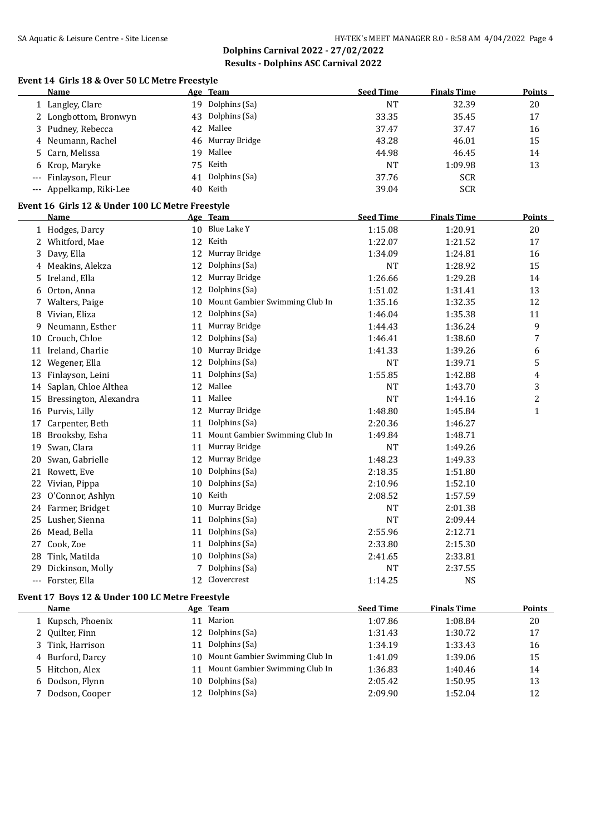**Dolphins Carnival 2022 - 27/02/2022 Results - Dolphins ASC Carnival 2022**

#### **Event 14 Girls 18 & Over 50 LC Metre Freestyle**

|     | <b>Name</b>                                      |    | Age Team                       | <b>Seed Time</b> | <b>Finals Time</b> | <b>Points</b> |
|-----|--------------------------------------------------|----|--------------------------------|------------------|--------------------|---------------|
|     | 1 Langley, Clare                                 |    | 19 Dolphins (Sa)               | <b>NT</b>        | 32.39              | 20            |
|     | 2 Longbottom, Bronwyn                            | 43 | Dolphins (Sa)                  | 33.35            | 35.45              | 17            |
| 3   | Pudney, Rebecca                                  | 42 | Mallee                         | 37.47            | 37.47              | 16            |
| 4   | Neumann, Rachel                                  | 46 | Murray Bridge                  | 43.28            | 46.01              | 15            |
| 5   | Carn, Melissa                                    | 19 | Mallee                         | 44.98            | 46.45              | 14            |
| 6   | Krop, Maryke                                     |    | 75 Keith                       | <b>NT</b>        | 1:09.98            | 13            |
| --- | Finlayson, Fleur                                 | 41 | Dolphins (Sa)                  | 37.76            | <b>SCR</b>         |               |
|     | --- Appelkamp, Riki-Lee                          |    | 40 Keith                       | 39.04            | <b>SCR</b>         |               |
|     | Event 16 Girls 12 & Under 100 LC Metre Freestyle |    |                                |                  |                    |               |
|     | <b>Name</b>                                      |    | Age Team                       | <b>Seed Time</b> | <b>Finals Time</b> | <b>Points</b> |
|     | 1 Hodges, Darcy                                  |    | 10 Blue Lake Y                 | 1:15.08          | 1:20.91            | 20            |
|     | 2 Whitford, Mae                                  | 12 | Keith                          | 1:22.07          | 1:21.52            | 17            |
|     | 3 Davy, Ella                                     | 12 | Murray Bridge                  | 1:34.09          | 1:24.81            | 16            |
| 4   | Meakins, Alekza                                  | 12 | Dolphins (Sa)                  | <b>NT</b>        | 1:28.92            | 15            |
| 5   | Ireland, Ella                                    |    | 12 Murray Bridge               | 1:26.66          | 1:29.28            | 14            |
| 6   | Orton, Anna                                      |    | 12 Dolphins (Sa)               | 1:51.02          | 1:31.41            | 13            |
|     | 7 Walters, Paige                                 | 10 | Mount Gambier Swimming Club In | 1:35.16          | 1:32.35            | 12            |
|     | 8 Vivian, Eliza                                  |    | 12 Dolphins (Sa)               | 1:46.04          | 1:35.38            | 11            |
| 9   | Neumann, Esther                                  | 11 | Murray Bridge                  | 1:44.43          | 1:36.24            | 9             |
| 10  | Crouch, Chloe                                    |    | 12 Dolphins (Sa)               | 1:46.41          | 1:38.60            | 7             |
|     | 11 Ireland, Charlie                              |    | 10 Murray Bridge               | 1:41.33          | 1:39.26            | 6             |
|     | 12 Wegener, Ella                                 | 12 | Dolphins (Sa)                  | NT               | 1:39.71            | 5             |
|     | 13 Finlayson, Leini                              | 11 | Dolphins (Sa)                  | 1:55.85          | 1:42.88            | 4             |
|     | 14 Saplan, Chloe Althea                          | 12 | Mallee                         | <b>NT</b>        | 1:43.70            | 3             |
|     | 15 Bressington, Alexandra                        | 11 | Mallee                         | <b>NT</b>        | 1:44.16            | 2             |
|     | 16 Purvis, Lilly                                 |    | 12 Murray Bridge               | 1:48.80          | 1:45.84            | $\mathbf{1}$  |
|     | 17 Carpenter, Beth                               |    | 11 Dolphins (Sa)               | 2:20.36          | 1:46.27            |               |
| 18  | Brooksby, Esha                                   | 11 | Mount Gambier Swimming Club In | 1:49.84          | 1:48.71            |               |
|     | 19 Swan, Clara                                   | 11 | Murray Bridge                  | <b>NT</b>        | 1:49.26            |               |
| 20  | Swan, Gabrielle                                  | 12 | Murray Bridge                  | 1:48.23          | 1:49.33            |               |
|     | 21 Rowett, Eve                                   | 10 | Dolphins (Sa)                  | 2:18.35          | 1:51.80            |               |
|     | 22 Vivian, Pippa                                 |    | 10 Dolphins (Sa)               | 2:10.96          | 1:52.10            |               |
|     | 23 O'Connor, Ashlyn                              | 10 | Keith                          | 2:08.52          | 1:57.59            |               |
| 24  | Farmer, Bridget                                  | 10 | Murray Bridge                  | <b>NT</b>        | 2:01.38            |               |
|     | 25 Lusher, Sienna                                | 11 | Dolphins (Sa)                  | <b>NT</b>        | 2:09.44            |               |
|     | 26 Mead, Bella                                   | 11 | Dolphins (Sa)                  | 2:55.96          | 2:12.71            |               |
| 27  | Cook, Zoe                                        | 11 | Dolphins (Sa)                  | 2:33.80          | 2:15.30            |               |
| 28  | Tink, Matilda                                    |    | 10 Dolphins (Sa)               | 2:41.65          | 2:33.81            |               |
| 29  | Dickinson, Molly                                 |    | Dolphins (Sa)                  | <b>NT</b>        | 2:37.55            |               |
|     | --- Forster, Ella                                | 12 | Clovercrest                    | 1:14.25          | <b>NS</b>          |               |

# **Event 17 Boys 12 & Under 100 LC Metre Freestyle**

| Name             |                   |                 | Age Team                          | <b>Seed Time</b> | <b>Finals Time</b> | <b>Points</b> |
|------------------|-------------------|-----------------|-----------------------------------|------------------|--------------------|---------------|
|                  | 1 Kupsch, Phoenix |                 | 11 Marion                         | 1:07.86          | 1:08.84            | 20            |
| 2 Quilter, Finn  |                   | 12.             | Dolphins (Sa)                     | 1:31.43          | 1:30.72            | 17            |
| 3 Tink, Harrison |                   | 11              | Dolphins (Sa)                     | 1:34.19          | 1:33.43            | 16            |
| 4 Burford, Darcy |                   |                 | 10 Mount Gambier Swimming Club In | 1:41.09          | 1:39.06            | 15            |
| 5 Hitchon, Alex  |                   |                 | 11 Mount Gambier Swimming Club In | 1:36.83          | 1:40.46            | 14            |
| 6 Dodson, Flynn  |                   | 10              | Dolphins (Sa)                     | 2:05.42          | 1:50.95            | 13            |
| 7 Dodson, Cooper |                   | 12 <sup>1</sup> | Dolphins (Sa)                     | 2:09.90          | 1:52.04            | 12            |
|                  |                   |                 |                                   |                  |                    |               |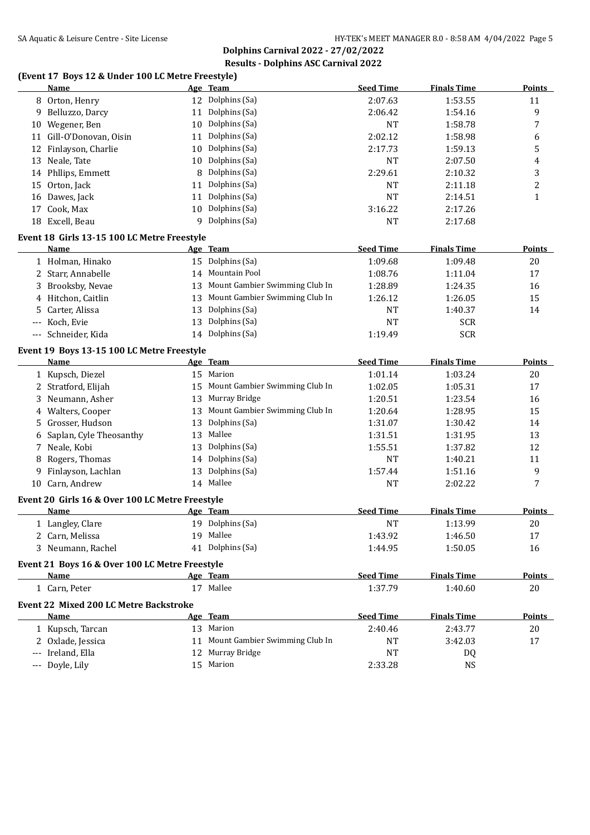## **(Event 17 Boys 12 & Under 100 LC Metre Freestyle)**

|                     | <b>Name</b>                                             |    | Age Team                          | <b>Seed Time</b> | <b>Finals Time</b> | <b>Points</b> |
|---------------------|---------------------------------------------------------|----|-----------------------------------|------------------|--------------------|---------------|
|                     | 8 Orton, Henry                                          | 12 | Dolphins (Sa)                     | 2:07.63          | 1:53.55            | 11            |
| 9.                  | Belluzzo, Darcy                                         | 11 | Dolphins (Sa)                     | 2:06.42          | 1:54.16            | 9             |
|                     | 10 Wegener, Ben                                         | 10 | Dolphins (Sa)                     | NT               | 1:58.78            | 7             |
|                     | 11 Gill-O'Donovan, Oisin                                | 11 | Dolphins (Sa)                     | 2:02.12          | 1:58.98            | 6             |
|                     | 12 Finlayson, Charlie                                   | 10 | Dolphins (Sa)                     | 2:17.73          | 1:59.13            | 5             |
|                     | 13 Neale, Tate                                          | 10 | Dolphins (Sa)                     | NT               | 2:07.50            | 4             |
|                     | 14 Phllips, Emmett                                      | 8  | Dolphins (Sa)                     | 2:29.61          | 2:10.32            | 3             |
| 15                  | Orton, Jack                                             | 11 | Dolphins (Sa)                     | NT               | 2:11.18            | 2             |
|                     | 16 Dawes, Jack                                          | 11 | Dolphins (Sa)                     | <b>NT</b>        | 2:14.51            | 1             |
| 17                  | Cook, Max                                               | 10 | Dolphins (Sa)                     | 3:16.22          | 2:17.26            |               |
|                     | 18 Excell, Beau                                         |    | 9 Dolphins (Sa)                   | NT               | 2:17.68            |               |
|                     | Event 18 Girls 13-15 100 LC Metre Freestyle             |    |                                   |                  |                    |               |
|                     | Name                                                    |    | Age Team                          | <b>Seed Time</b> | <b>Finals Time</b> | <b>Points</b> |
|                     | 1 Holman, Hinako                                        |    | 15 Dolphins (Sa)                  | 1:09.68          | 1:09.48            | 20            |
|                     | 2 Starr, Annabelle                                      |    | 14 Mountain Pool                  | 1:08.76          | 1:11.04            | 17            |
|                     | 3 Brooksby, Nevae                                       | 13 | Mount Gambier Swimming Club In    | 1:28.89          | 1:24.35            | 16            |
|                     | 4 Hitchon, Caitlin                                      | 13 | Mount Gambier Swimming Club In    | 1:26.12          | 1:26.05            | 15            |
| 5                   | Carter, Alissa                                          | 13 | Dolphins (Sa)                     | NT               | 1:40.37            | 14            |
| $\qquad \qquad - -$ | Koch, Evie                                              | 13 | Dolphins (Sa)                     | <b>NT</b>        | <b>SCR</b>         |               |
|                     | --- Schneider, Kida                                     | 14 | Dolphins (Sa)                     | 1:19.49          | <b>SCR</b>         |               |
|                     |                                                         |    |                                   |                  |                    |               |
|                     | Event 19 Boys 13-15 100 LC Metre Freestyle<br>Name      |    | Age Team                          | <b>Seed Time</b> | <b>Finals Time</b> | <b>Points</b> |
|                     | 1 Kupsch, Diezel                                        |    | 15 Marion                         | 1:01.14          | 1:03.24            | 20            |
|                     | 2 Stratford, Elijah                                     | 15 | Mount Gambier Swimming Club In    | 1:02.05          | 1:05.31            | 17            |
|                     | 3 Neumann, Asher                                        | 13 | Murray Bridge                     | 1:20.51          | 1:23.54            | 16            |
|                     | 4 Walters, Cooper                                       | 13 | Mount Gambier Swimming Club In    | 1:20.64          | 1:28.95            | 15            |
|                     | 5 Grosser, Hudson                                       | 13 | Dolphins (Sa)                     | 1:31.07          | 1:30.42            | 14            |
| 6                   | Saplan, Cyle Theosanthy                                 | 13 | Mallee                            | 1:31.51          | 1:31.95            | 13            |
| 7                   | Neale, Kobi                                             | 13 | Dolphins (Sa)                     | 1:55.51          | 1:37.82            | 12            |
| 8                   | Rogers, Thomas                                          | 14 | Dolphins (Sa)                     | NT               | 1:40.21            | 11            |
| 9                   | Finlayson, Lachlan                                      | 13 | Dolphins (Sa)                     | 1:57.44          | 1:51.16            | 9             |
|                     | 10 Carn, Andrew                                         |    | 14 Mallee                         | NT               | 2:02.22            | 7             |
|                     |                                                         |    |                                   |                  |                    |               |
|                     | Event 20 Girls 16 & Over 100 LC Metre Freestyle<br>Name |    | Age Team                          | <b>Seed Time</b> | <b>Finals Time</b> | <b>Points</b> |
|                     | 1 Langley, Clare                                        |    | 19 Dolphins (Sa)                  | <b>NT</b>        | 1:13.99            | 20            |
|                     | 2 Carn, Melissa                                         |    | 19 Mallee                         | 1:43.92          | 1:46.50            | 17            |
|                     | 3 Neumann, Rachel                                       |    | 41 Dolphins (Sa)                  | 1:44.95          | 1:50.05            | 16            |
|                     |                                                         |    |                                   |                  |                    |               |
|                     | Event 21 Boys 16 & Over 100 LC Metre Freestyle          |    |                                   |                  |                    |               |
|                     | Name                                                    |    | Age Team                          | <b>Seed Time</b> | <b>Finals Time</b> | <b>Points</b> |
|                     | 1 Carn, Peter                                           |    | 17 Mallee                         | 1:37.79          | 1:40.60            | 20            |
|                     | <b>Event 22 Mixed 200 LC Metre Backstroke</b>           |    |                                   |                  |                    |               |
|                     | Name                                                    |    | Age Team                          | <b>Seed Time</b> | <b>Finals Time</b> | <b>Points</b> |
|                     | 1 Kupsch, Tarcan                                        |    | 13 Marion                         | 2:40.46          | 2:43.77            | 20            |
|                     | 2 Oxlade, Jessica                                       |    | 11 Mount Gambier Swimming Club In | <b>NT</b>        | 3:42.03            | 17            |
|                     | --- Ireland, Ella                                       |    | 12 Murray Bridge                  | <b>NT</b>        | DQ                 |               |
|                     | --- Doyle, Lily                                         |    | 15 Marion                         | 2:33.28          | <b>NS</b>          |               |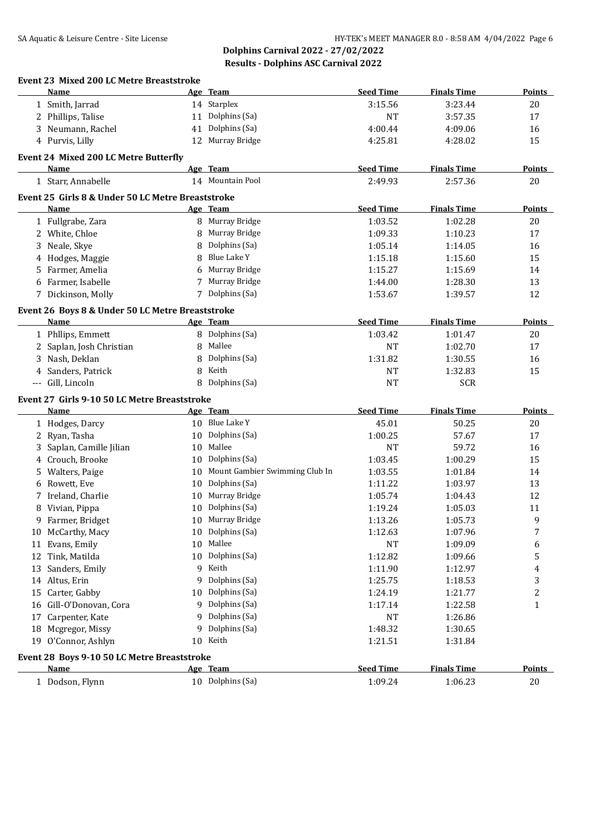|          | Name                                              | Age Team                          | <b>Seed Time</b> | <b>Finals Time</b> | <b>Points</b> |
|----------|---------------------------------------------------|-----------------------------------|------------------|--------------------|---------------|
|          | 1 Smith, Jarrad                                   | 14 Starplex                       | 3:15.56          | 3:23.44            | 20            |
|          | 2 Phillips, Talise                                | 11 Dolphins (Sa)                  | <b>NT</b>        | 3:57.35            | 17            |
|          | 3 Neumann, Rachel                                 | 41 Dolphins (Sa)                  | 4:00.44          | 4:09.06            | 16            |
|          | 4 Purvis, Lilly                                   | 12 Murray Bridge                  | 4:25.81          | 4:28.02            | 15            |
|          | Event 24 Mixed 200 LC Metre Butterfly             |                                   |                  |                    |               |
|          | Name                                              | Age Team                          | <b>Seed Time</b> | <b>Finals Time</b> | <b>Points</b> |
|          | 1 Starr, Annabelle                                | 14 Mountain Pool                  | 2:49.93          | 2:57.36            | 20            |
|          |                                                   |                                   |                  |                    |               |
|          | Event 25 Girls 8 & Under 50 LC Metre Breaststroke |                                   |                  |                    |               |
|          | Name                                              | Age Team                          | <b>Seed Time</b> | <b>Finals Time</b> | <b>Points</b> |
|          | 1 Fullgrabe, Zara                                 | 8 Murray Bridge                   | 1:03.52          | 1:02.28            | 20            |
|          | 2 White, Chloe                                    | 8 Murray Bridge                   | 1:09.33          | 1:10.23            | 17            |
|          | 3 Neale, Skye                                     | 8 Dolphins (Sa)                   | 1:05.14          | 1:14.05            | 16            |
| 4        | Hodges, Maggie                                    | 8 Blue Lake Y                     | 1:15.18          | 1:15.60            | 15            |
| 5        | Farmer, Amelia                                    | 6 Murray Bridge                   | 1:15.27          | 1:15.69            | 14            |
| 6        | Farmer, Isabelle                                  | 7 Murray Bridge                   | 1:44.00          | 1:28.30            | 13            |
|          | 7 Dickinson, Molly                                | 7 Dolphins (Sa)                   | 1:53.67          | 1:39.57            | 12            |
|          | Event 26 Boys 8 & Under 50 LC Metre Breaststroke  |                                   |                  |                    |               |
|          | Name                                              | Age Team                          | <b>Seed Time</b> | <b>Finals Time</b> | <b>Points</b> |
|          | 1 Phllips, Emmett                                 | 8 Dolphins (Sa)                   | 1:03.42          | 1:01.47            | 20            |
|          | 2 Saplan, Josh Christian                          | 8 Mallee                          | <b>NT</b>        | 1:02.70            | 17            |
|          | 3 Nash, Deklan                                    | 8 Dolphins (Sa)                   | 1:31.82          | 1:30.55            | 16            |
| 4        | Sanders, Patrick                                  | 8 Keith                           | <b>NT</b>        | 1:32.83            | 15            |
| $\cdots$ | Gill, Lincoln                                     | 8 Dolphins (Sa)                   | <b>NT</b>        | <b>SCR</b>         |               |
|          |                                                   |                                   |                  |                    |               |
|          | Event 27 Girls 9-10 50 LC Metre Breaststroke      |                                   |                  |                    |               |
|          | Name                                              | Age Team                          | <b>Seed Time</b> | <b>Finals Time</b> | <b>Points</b> |
|          | 1 Hodges, Darcy                                   | 10 Blue Lake Y                    | 45.01            | 50.25              | 20            |
| 2        | Ryan, Tasha                                       | 10 Dolphins (Sa)                  | 1:00.25          | 57.67              | 17            |
| 3        | Saplan, Camille Jilian                            | 10 Mallee                         | <b>NT</b>        | 59.72              | 16            |
|          | 4 Crouch, Brooke                                  | 10 Dolphins (Sa)                  | 1:03.45          | 1:00.29            | 15            |
| 5        | Walters, Paige                                    | 10 Mount Gambier Swimming Club In | 1:03.55          | 1:01.84            | 14            |
| 6        | Rowett, Eve                                       | 10 Dolphins (Sa)                  | 1:11.22          | 1:03.97            | 13            |
|          | 7 Ireland, Charlie                                | 10 Murray Bridge                  | 1:05.74          | 1:04.43            | 12            |
| 8        | Vivian, Pippa                                     | 10 Dolphins (Sa)                  | 1:19.24          | 1:05.03            | 11            |
|          | 9 Farmer, Bridget                                 | 10 Murray Bridge                  | 1:13.26          | 1:05.73            | 9             |
|          | 10 McCarthy, Macy                                 | 10 Dolphins (Sa)                  | 1:12.63          | 1:07.96            | 7             |
|          | 11 Evans, Emily                                   | 10 Mallee                         | <b>NT</b>        | 1:09.09            | 6             |
|          | 12 Tink, Matilda                                  | 10 Dolphins (Sa)                  | 1:12.82          | 1:09.66            | 5             |
|          | 13 Sanders, Emily                                 | 9 Keith                           | 1:11.90          | 1:12.97            | 4             |
|          | 14 Altus, Erin                                    | 9 Dolphins (Sa)                   | 1:25.75          | 1:18.53            | 3             |
|          | 15 Carter, Gabby                                  | 10 Dolphins (Sa)                  | 1:24.19          | 1:21.77            | 2             |
|          | 16 Gill-O'Donovan, Cora                           | 9 Dolphins (Sa)                   | 1:17.14          | 1:22.58            | 1             |
| 17       | Carpenter, Kate                                   | 9 Dolphins (Sa)                   | <b>NT</b>        | 1:26.86            |               |
|          | 18 Mcgregor, Missy                                | 9 Dolphins (Sa)                   | 1:48.32          | 1:30.65            |               |
|          | 19 O'Connor, Ashlyn                               | 10 Keith                          | 1:21.51          | 1:31.84            |               |
|          | Event 28 Boys 9-10 50 LC Metre Breaststroke       |                                   |                  |                    |               |
|          | Name                                              | Age Team                          | <b>Seed Time</b> | <b>Finals Time</b> | <b>Points</b> |
|          |                                                   |                                   |                  |                    |               |
|          | 1 Dodson, Flynn                                   | 10 Dolphins (Sa)                  | 1:09.24          | 1:06.23            | 20            |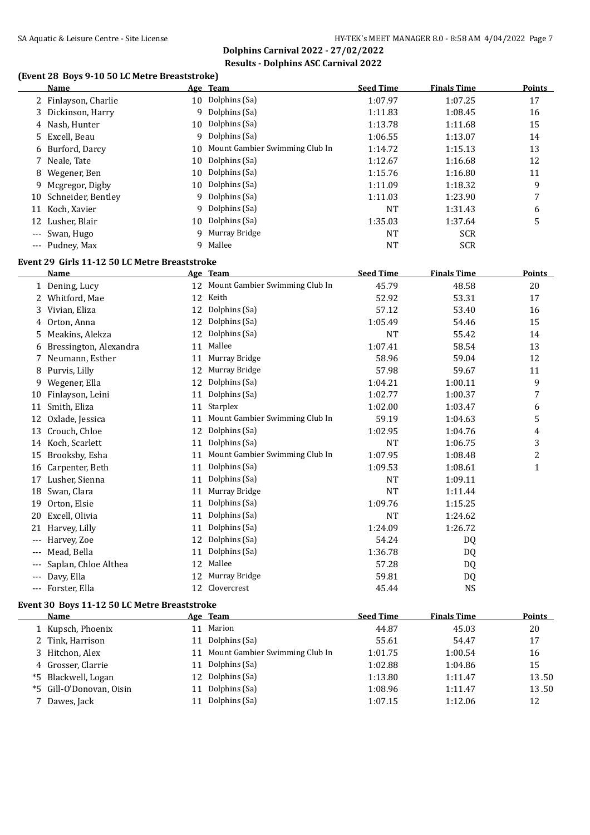**Dolphins Carnival 2022 - 27/02/2022 Results - Dolphins ASC Carnival 2022**

## **(Event 28 Boys 9-10 50 LC Metre Breaststroke)**

|       | Name                                          |    | Age Team                       | <b>Seed Time</b> | <b>Finals Time</b> | <b>Points</b>           |
|-------|-----------------------------------------------|----|--------------------------------|------------------|--------------------|-------------------------|
|       | 2 Finlayson, Charlie                          |    | 10 Dolphins (Sa)               | 1:07.97          | 1:07.25            | 17                      |
| 3     | Dickinson, Harry                              |    | 9 Dolphins (Sa)                | 1:11.83          | 1:08.45            | 16                      |
| 4     | Nash, Hunter                                  | 10 | Dolphins (Sa)                  | 1:13.78          | 1:11.68            | 15                      |
| 5.    | Excell, Beau                                  | 9  | Dolphins (Sa)                  | 1:06.55          | 1:13.07            | 14                      |
| 6     | Burford, Darcy                                | 10 | Mount Gambier Swimming Club In | 1:14.72          | 1:15.13            | 13                      |
| 7     | Neale, Tate                                   | 10 | Dolphins (Sa)                  | 1:12.67          | 1:16.68            | 12                      |
| 8     | Wegener, Ben                                  | 10 | Dolphins (Sa)                  | 1:15.76          | 1:16.80            | 11                      |
| 9     | Mcgregor, Digby                               | 10 | Dolphins (Sa)                  | 1:11.09          | 1:18.32            | 9                       |
| 10    | Schneider, Bentley                            | 9  | Dolphins (Sa)                  | 1:11.03          | 1:23.90            | 7                       |
| 11    | Koch, Xavier                                  | 9  | Dolphins (Sa)                  | <b>NT</b>        | 1:31.43            | 6                       |
| 12    | Lusher, Blair                                 | 10 | Dolphins (Sa)                  | 1:35.03          | 1:37.64            | 5                       |
| $---$ | Swan, Hugo                                    | 9  | Murray Bridge                  | <b>NT</b>        | <b>SCR</b>         |                         |
|       | --- Pudney, Max                               | 9  | Mallee                         | <b>NT</b>        | <b>SCR</b>         |                         |
|       | Event 29 Girls 11-12 50 LC Metre Breaststroke |    |                                |                  |                    |                         |
|       | Name                                          |    | Age Team                       | <b>Seed Time</b> | <b>Finals Time</b> | <b>Points</b>           |
|       | 1 Dening, Lucy                                | 12 | Mount Gambier Swimming Club In | 45.79            | 48.58              | 20                      |
| 2     | Whitford, Mae                                 | 12 | Keith                          | 52.92            | 53.31              | 17                      |
| 3     | Vivian, Eliza                                 | 12 | Dolphins (Sa)                  | 57.12            | 53.40              | 16                      |
| 4     | Orton, Anna                                   | 12 | Dolphins (Sa)                  | 1:05.49          | 54.46              | 15                      |
| 5     | Meakins, Alekza                               | 12 | Dolphins (Sa)                  | <b>NT</b>        | 55.42              | 14                      |
| 6     | Bressington, Alexandra                        | 11 | Mallee                         | 1:07.41          | 58.54              | 13                      |
| 7     | Neumann, Esther                               | 11 | Murray Bridge                  | 58.96            | 59.04              | 12                      |
| 8     | Purvis, Lilly                                 | 12 | Murray Bridge                  | 57.98            | 59.67              | 11                      |
| 9     | Wegener, Ella                                 | 12 | Dolphins (Sa)                  | 1:04.21          | 1:00.11            | 9                       |
| 10    | Finlayson, Leini                              | 11 | Dolphins (Sa)                  | 1:02.77          | 1:00.37            | 7                       |
| 11    | Smith, Eliza                                  | 11 | Starplex                       | 1:02.00          | 1:03.47            | 6                       |
| 12    | Oxlade, Jessica                               | 11 | Mount Gambier Swimming Club In | 59.19            | 1:04.63            | 5                       |
| 13    | Crouch, Chloe                                 | 12 | Dolphins (Sa)                  | 1:02.95          | 1:04.76            | 4                       |
| 14    | Koch, Scarlett                                | 11 | Dolphins (Sa)                  | <b>NT</b>        | 1:06.75            | 3                       |
| 15    | Brooksby, Esha                                | 11 | Mount Gambier Swimming Club In | 1:07.95          | 1:08.48            | $\overline{\mathbf{c}}$ |
|       | 16 Carpenter, Beth                            | 11 | Dolphins (Sa)                  | 1:09.53          | 1:08.61            | $\mathbf 1$             |
|       | 17 Lusher, Sienna                             | 11 | Dolphins (Sa)                  | <b>NT</b>        | 1:09.11            |                         |
| 18    | Swan, Clara                                   | 11 | Murray Bridge                  | <b>NT</b>        | 1:11.44            |                         |
| 19    | Orton, Elsie                                  | 11 | Dolphins (Sa)                  | 1:09.76          | 1:15.25            |                         |
|       | 20 Excell, Olivia                             |    | 11 Dolphins (Sa)               | <b>NT</b>        | 1:24.62            |                         |
|       | 21 Harvey, Lilly                              |    | 11 Dolphins (Sa)               | 1:24.09          | 1:26.72            |                         |
|       | --- Harvey, Zoe                               |    | 12 Dolphins (Sa)               | 54.24            | DQ                 |                         |
|       | Mead, Bella                                   |    | 11 Dolphins (Sa)               | 1:36.78          | <b>DQ</b>          |                         |
|       | Saplan, Chloe Althea                          |    | 12 Mallee                      | 57.28            | DQ                 |                         |
|       | Davy, Ella                                    | 12 | Murray Bridge                  | 59.81            | DQ                 |                         |
|       | Forster, Ella                                 |    | 12 Clovercrest                 | 45.44            | <b>NS</b>          |                         |
|       |                                               |    |                                |                  |                    |                         |

## **Event 30 Boys 11-12 50 LC Metre Breaststroke**

| <b>Name</b>              |    | Age Team                       | <b>Seed Time</b> | <b>Finals Time</b> | Points |
|--------------------------|----|--------------------------------|------------------|--------------------|--------|
| 1 Kupsch, Phoenix        |    | Marion                         | 44.87            | 45.03              | 20     |
| 2 Tink, Harrison         | 11 | Dolphins (Sa)                  | 55.61            | 54.47              | 17     |
| 3 Hitchon, Alex          |    | Mount Gambier Swimming Club In | 1:01.75          | 1:00.54            | 16     |
| 4 Grosser, Clarrie       | 11 | Dolphins (Sa)                  | 1:02.88          | 1:04.86            | 15     |
| *5 Blackwell, Logan      |    | 12 Dolphins (Sa)               | 1:13.80          | 1:11.47            | 13.50  |
| *5 Gill-O'Donovan, Oisin |    | Dolphins (Sa)                  | 1:08.96          | 1:11.47            | 13.50  |
| 7 Dawes, Jack            |    | Dolphins (Sa)                  | 1:07.15          | 1:12.06            | 12     |
|                          |    |                                |                  |                    |        |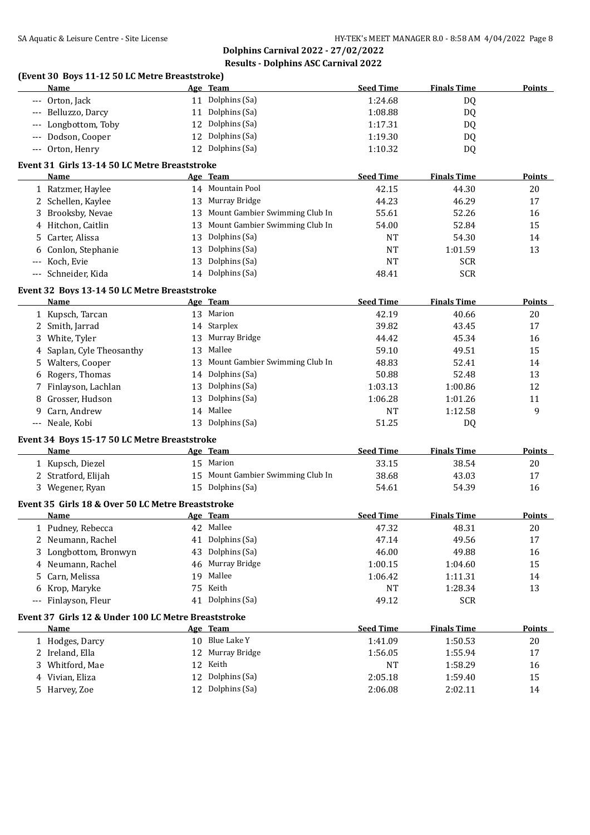|                     | (Event 30 Boys 11-12 50 LC Metre Breaststroke)<br>Name |    | Age Team                          | <b>Seed Time</b> | <b>Finals Time</b>       | <b>Points</b> |
|---------------------|--------------------------------------------------------|----|-----------------------------------|------------------|--------------------------|---------------|
| $\qquad \qquad - -$ | Orton, Jack                                            |    | 11 Dolphins (Sa)                  | 1:24.68          | DQ                       |               |
| $-\, -\, -$         | Belluzzo, Darcy                                        |    | 11 Dolphins (Sa)                  | 1:08.88          | <b>DQ</b>                |               |
| $\cdots$            | Longbottom, Toby                                       |    | 12 Dolphins (Sa)                  | 1:17.31          | DQ                       |               |
| $\cdots$            | Dodson, Cooper                                         |    | 12 Dolphins (Sa)                  | 1:19.30          | DQ                       |               |
|                     | --- Orton, Henry                                       |    | 12 Dolphins (Sa)                  | 1:10.32          | DQ                       |               |
|                     | Event 31 Girls 13-14 50 LC Metre Breaststroke          |    |                                   |                  |                          |               |
|                     | Name                                                   |    | Age Team                          | <b>Seed Time</b> | <b>Finals Time</b>       | Points        |
|                     | 1 Ratzmer, Haylee                                      |    | 14 Mountain Pool                  | 42.15            | 44.30                    | 20            |
|                     | 2 Schellen, Kaylee                                     |    | 13 Murray Bridge                  | 44.23            | 46.29                    | 17            |
| 3                   | Brooksby, Nevae                                        |    | 13 Mount Gambier Swimming Club In | 55.61            | 52.26                    | 16            |
| 4                   | Hitchon, Caitlin                                       |    | 13 Mount Gambier Swimming Club In | 54.00            | 52.84                    | 15            |
|                     | Carter, Alissa                                         | 13 | Dolphins (Sa)                     | <b>NT</b>        | 54.30                    | 14            |
| 5.                  |                                                        | 13 | Dolphins (Sa)                     | NT               | 1:01.59                  | 13            |
| 6                   | Conlon, Stephanie                                      | 13 | Dolphins (Sa)                     |                  |                          |               |
| $-\, -\, -$         | Koch, Evie                                             |    | 14 Dolphins (Sa)                  | <b>NT</b>        | <b>SCR</b><br><b>SCR</b> |               |
| $---$               | Schneider, Kida                                        |    |                                   | 48.41            |                          |               |
|                     | Event 32 Boys 13-14 50 LC Metre Breaststroke           |    |                                   |                  |                          |               |
|                     | Name                                                   |    | Age Team                          | <b>Seed Time</b> | <b>Finals Time</b>       | Points        |
|                     | 1 Kupsch, Tarcan                                       |    | 13 Marion                         | 42.19            | 40.66                    | 20            |
|                     | 2 Smith, Jarrad                                        |    | 14 Starplex                       | 39.82            | 43.45                    | 17            |
| 3                   | White, Tyler                                           |    | 13 Murray Bridge                  | 44.42            | 45.34                    | 16            |
| 4                   | Saplan, Cyle Theosanthy                                |    | 13 Mallee                         | 59.10            | 49.51                    | 15            |
| 5.                  | Walters, Cooper                                        | 13 | Mount Gambier Swimming Club In    | 48.83            | 52.41                    | 14            |
| 6                   | Rogers, Thomas                                         |    | 14 Dolphins (Sa)                  | 50.88            | 52.48                    | 13            |
|                     | 7 Finlayson, Lachlan                                   | 13 | Dolphins (Sa)                     | 1:03.13          | 1:00.86                  | 12            |
| 8                   | Grosser, Hudson                                        | 13 | Dolphins (Sa)                     | 1:06.28          | 1:01.26                  | 11            |
| 9                   | Carn, Andrew                                           |    | 14 Mallee                         | NT               | 1:12.58                  | 9             |
|                     | --- Neale, Kobi                                        |    | 13 Dolphins (Sa)                  | 51.25            | DQ                       |               |
|                     | Event 34 Boys 15-17 50 LC Metre Breaststroke           |    |                                   |                  |                          |               |
|                     | Name                                                   |    | Age Team                          | <b>Seed Time</b> | <b>Finals Time</b>       | <b>Points</b> |
|                     | 1 Kupsch, Diezel                                       |    | 15 Marion                         | 33.15            | 38.54                    | 20            |
|                     | 2 Stratford, Elijah                                    |    | 15 Mount Gambier Swimming Club In | 38.68            | 43.03                    | 17            |
|                     | 3 Wegener, Ryan                                        |    | 15 Dolphins (Sa)                  | 54.61            | 54.39                    | 16            |
|                     |                                                        |    |                                   |                  |                          |               |
|                     | Event 35 Girls 18 & Over 50 LC Metre Breaststroke      |    |                                   |                  |                          |               |
|                     | Name                                                   |    | Age Team                          | <b>Seed Time</b> | <b>Finals Time</b>       | <b>Points</b> |
|                     | 1 Pudney, Rebecca                                      |    | 42 Mallee                         | 47.32            | 48.31                    | 20            |
|                     | 2 Neumann, Rachel                                      |    | 41 Dolphins (Sa)                  | 47.14            | 49.56                    | 17            |
|                     | Longbottom, Bronwyn                                    | 43 | Dolphins (Sa)                     | 46.00            | 49.88                    | 16            |
| 4                   | Neumann, Rachel                                        | 46 | Murray Bridge                     | 1:00.15          | 1:04.60                  | 15            |
| 5                   | Carn, Melissa                                          | 19 | Mallee                            | 1:06.42          | 1:11.31                  | 14            |
| 6                   | Krop, Maryke                                           | 75 | Keith                             | NT               | 1:28.34                  | 13            |
| $\cdots$            | Finlayson, Fleur                                       |    | 41 Dolphins (Sa)                  | 49.12            | <b>SCR</b>               |               |
|                     | Event 37 Girls 12 & Under 100 LC Metre Breaststroke    |    |                                   |                  |                          |               |
|                     | Name                                                   |    | Age Team                          | <b>Seed Time</b> | <b>Finals Time</b>       | <b>Points</b> |
|                     | 1 Hodges, Darcy                                        |    | 10 Blue Lake Y                    | 1:41.09          | 1:50.53                  | 20            |
|                     | 2 Ireland, Ella                                        | 12 | Murray Bridge                     | 1:56.05          | 1:55.94                  | 17            |
| 3.                  | Whitford, Mae                                          |    | 12 Keith                          | NT               | 1:58.29                  | 16            |
|                     | 4 Vivian, Eliza                                        |    | 12 Dolphins (Sa)                  | 2:05.18          | 1:59.40                  | 15            |
|                     | 5 Harvey, Zoe                                          |    | 12 Dolphins (Sa)                  | 2:06.08          | 2:02.11                  | 14            |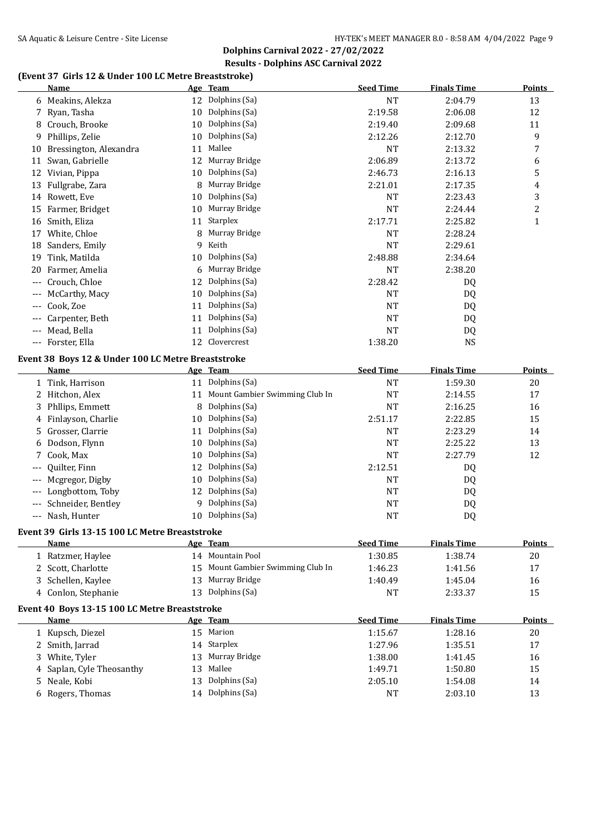# **Dolphins Carnival 2022 - 27/02/2022 Results - Dolphins ASC Carnival 2022**

# **(Event 37 Girls 12 & Under 100 LC Metre Breaststroke)**

|       | (Event 37 GHTs 12 & Onder Too LG Metre Dreaststroke)<br><u>Name</u> |    | Age Team                          | <b>Seed Time</b> | <b>Finals Time</b> | <b>Points</b>           |
|-------|---------------------------------------------------------------------|----|-----------------------------------|------------------|--------------------|-------------------------|
|       | 6 Meakins, Alekza                                                   |    | 12 Dolphins (Sa)                  | <b>NT</b>        | 2:04.79            | 13                      |
|       | 7 Ryan, Tasha                                                       |    | 10 Dolphins (Sa)                  | 2:19.58          | 2:06.08            | 12                      |
|       | 8 Crouch, Brooke                                                    |    | 10 Dolphins (Sa)                  | 2:19.40          | 2:09.68            | 11                      |
| 9     | Phillips, Zelie                                                     | 10 | Dolphins (Sa)                     | 2:12.26          | 2:12.70            | 9                       |
| 10    | Bressington, Alexandra                                              | 11 | Mallee                            | <b>NT</b>        | 2:13.32            | 7                       |
| 11    | Swan, Gabrielle                                                     | 12 | Murray Bridge                     | 2:06.89          | 2:13.72            | 6                       |
| 12    | Vivian, Pippa                                                       | 10 | Dolphins (Sa)                     | 2:46.73          | 2:16.13            | 5                       |
| 13    | Fullgrabe, Zara                                                     | 8  | Murray Bridge                     | 2:21.01          | 2:17.35            | 4                       |
|       | 14 Rowett, Eve                                                      | 10 | Dolphins (Sa)                     | <b>NT</b>        | 2:23.43            | 3                       |
| 15    | Farmer, Bridget                                                     | 10 | Murray Bridge                     | <b>NT</b>        | 2:24.44            | $\overline{\mathbf{c}}$ |
|       | 16 Smith, Eliza                                                     | 11 | Starplex                          | 2:17.71          | 2:25.82            | $\mathbf{1}$            |
|       | 17 White, Chloe                                                     | 8  | Murray Bridge                     | <b>NT</b>        | 2:28.24            |                         |
|       | 18 Sanders, Emily                                                   | 9  | Keith                             | <b>NT</b>        | 2:29.61            |                         |
| 19    | Tink, Matilda                                                       | 10 | Dolphins (Sa)                     | 2:48.88          | 2:34.64            |                         |
| 20    | Farmer, Amelia                                                      | 6  | Murray Bridge                     | <b>NT</b>        | 2:38.20            |                         |
|       | Crouch, Chloe                                                       | 12 | Dolphins (Sa)                     | 2:28.42          | DQ                 |                         |
|       | McCarthy, Macy                                                      | 10 | Dolphins (Sa)                     | <b>NT</b>        | DQ                 |                         |
|       | Cook, Zoe                                                           | 11 | Dolphins (Sa)                     | <b>NT</b>        | DQ                 |                         |
|       | Carpenter, Beth                                                     | 11 | Dolphins (Sa)                     | <b>NT</b>        | DQ                 |                         |
|       | Mead, Bella                                                         | 11 | Dolphins (Sa)                     | <b>NT</b>        | DQ                 |                         |
| $---$ | Forster, Ella                                                       | 12 | Clovercrest                       | 1:38.20          | <b>NS</b>          |                         |
|       |                                                                     |    |                                   |                  |                    |                         |
|       | Event 38 Boys 12 & Under 100 LC Metre Breaststroke<br>Name          |    | Age Team                          | <b>Seed Time</b> | <b>Finals Time</b> | <b>Points</b>           |
|       | 1 Tink, Harrison                                                    |    | 11 Dolphins (Sa)                  | <b>NT</b>        | 1:59.30            | 20                      |
|       | 2 Hitchon, Alex                                                     | 11 | Mount Gambier Swimming Club In    | <b>NT</b>        | 2:14.55            | 17                      |
| 3     | Phllips, Emmett                                                     | 8  | Dolphins (Sa)                     | <b>NT</b>        | 2:16.25            | 16                      |
|       | 4 Finlayson, Charlie                                                | 10 | Dolphins (Sa)                     | 2:51.17          | 2:22.85            | 15                      |
| 5     | Grosser, Clarrie                                                    | 11 | Dolphins (Sa)                     | <b>NT</b>        | 2:23.29            | 14                      |
| 6     | Dodson, Flynn                                                       | 10 | Dolphins (Sa)                     | NT               | 2:25.22            | 13                      |
| 7     | Cook, Max                                                           | 10 | Dolphins (Sa)                     | NT               | 2:27.79            | 12                      |
|       | Quilter, Finn                                                       | 12 | Dolphins (Sa)                     | 2:12.51          | DQ                 |                         |
|       | Mcgregor, Digby                                                     | 10 | Dolphins (Sa)                     | NT               | DQ                 |                         |
|       | Longbottom, Toby                                                    | 12 | Dolphins (Sa)                     |                  |                    |                         |
| $---$ | Schneider, Bentley                                                  | 9  | Dolphins (Sa)                     | NT<br><b>NT</b>  | DQ                 |                         |
| $---$ | Nash, Hunter                                                        | 10 | Dolphins (Sa)                     | <b>NT</b>        | DQ<br>DQ           |                         |
|       |                                                                     |    |                                   |                  |                    |                         |
|       | Event 39 Girls 13-15 100 LC Metre Breaststroke                      |    |                                   |                  |                    |                         |
|       | Name                                                                |    | Age Team                          | <b>Seed Time</b> | <b>Finals Time</b> | <b>Points</b>           |
|       | 1 Ratzmer, Haylee                                                   |    | 14 Mountain Pool                  | 1:30.85          | 1:38.74            | 20                      |
|       | 2 Scott, Charlotte                                                  |    | 15 Mount Gambier Swimming Club In | 1:46.23          | 1:41.56            | 17                      |
|       | 3 Schellen, Kaylee                                                  |    | 13 Murray Bridge                  | 1:40.49          | 1:45.04            | 16                      |
|       | 4 Conlon, Stephanie                                                 |    | 13 Dolphins (Sa)                  | NT               | 2:33.37            | 15                      |
|       | Event 40 Boys 13-15 100 LC Metre Breaststroke                       |    |                                   |                  |                    |                         |
|       | Name                                                                |    | Age Team                          | <b>Seed Time</b> | <b>Finals Time</b> | <b>Points</b>           |
|       | 1 Kupsch, Diezel                                                    |    | 15 Marion                         | 1:15.67          | 1:28.16            | 20                      |
|       | 2 Smith, Jarrad                                                     |    | 14 Starplex                       | 1:27.96          | 1:35.51            | 17                      |
|       | 3 White, Tyler                                                      |    | 13 Murray Bridge                  | 1:38.00          | 1:41.45            | 16                      |
| 4     | Saplan, Cyle Theosanthy                                             |    | 13 Mallee                         | 1:49.71          | 1:50.80            | 15                      |
|       | 5 Neale, Kobi                                                       | 13 | Dolphins (Sa)                     | 2:05.10          | 1:54.08            | 14                      |
|       | 6 Rogers, Thomas                                                    |    | 14 Dolphins (Sa)                  | NT               | 2:03.10            | 13                      |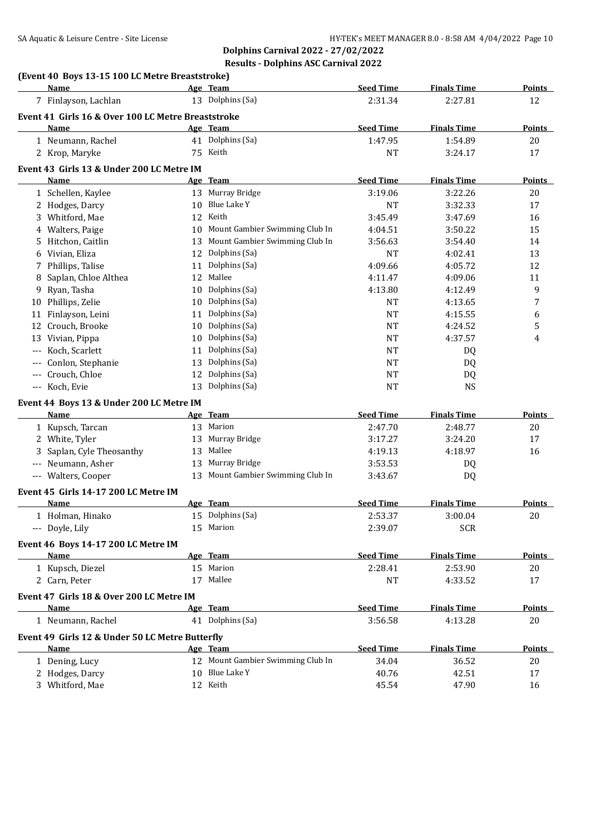|       | (Event 40 Boys 13-15 100 LC Metre Breaststroke)<br>Name |    | Age Team                          | <b>Seed Time</b> | <b>Finals Time</b> | <b>Points</b> |
|-------|---------------------------------------------------------|----|-----------------------------------|------------------|--------------------|---------------|
|       | 7 Finlayson, Lachlan                                    |    | 13 Dolphins (Sa)                  | 2:31.34          | 2:27.81            | 12            |
|       | Event 41 Girls 16 & Over 100 LC Metre Breaststroke      |    |                                   |                  |                    |               |
|       | Name                                                    |    | Age Team                          | <b>Seed Time</b> | <b>Finals Time</b> | <b>Points</b> |
|       | 1 Neumann, Rachel                                       |    | 41 Dolphins (Sa)                  | 1:47.95          | 1:54.89            | 20            |
|       | 2 Krop, Maryke                                          |    | 75 Keith                          | <b>NT</b>        | 3:24.17            | 17            |
|       |                                                         |    |                                   |                  |                    |               |
|       | Event 43 Girls 13 & Under 200 LC Metre IM<br>Name       |    | Age Team                          | <b>Seed Time</b> | <b>Finals Time</b> | <b>Points</b> |
|       | 1 Schellen, Kaylee                                      |    | 13 Murray Bridge                  | 3:19.06          | 3:22.26            | 20            |
|       | 2 Hodges, Darcy                                         | 10 | Blue Lake Y                       | <b>NT</b>        | 3:32.33            | 17            |
|       | 3 Whitford, Mae                                         |    | 12 Keith                          | 3:45.49          | 3:47.69            | 16            |
|       | Walters, Paige                                          |    | 10 Mount Gambier Swimming Club In | 4:04.51          | 3:50.22            | 15            |
| 4     | 5 Hitchon, Caitlin                                      |    | 13 Mount Gambier Swimming Club In | 3:56.63          | 3:54.40            | 14            |
| 6     | Vivian, Eliza                                           | 12 | Dolphins (Sa)                     | <b>NT</b>        | 4:02.41            | 13            |
|       | 7 Phillips, Talise                                      | 11 | Dolphins (Sa)                     | 4:09.66          | 4:05.72            | 12            |
| 8     | Saplan, Chloe Althea                                    | 12 | Mallee                            | 4:11.47          | 4:09.06            | 11            |
|       | Ryan, Tasha                                             | 10 | Dolphins (Sa)                     | 4:13.80          | 4:12.49            | 9             |
| 9     | 10 Phillips, Zelie                                      | 10 | Dolphins (Sa)                     | <b>NT</b>        | 4:13.65            | 7             |
| 11    | Finlayson, Leini                                        | 11 | Dolphins (Sa)                     | <b>NT</b>        | 4:15.55            | 6             |
|       | 12 Crouch, Brooke                                       | 10 | Dolphins (Sa)                     | <b>NT</b>        | 4:24.52            | 5             |
|       | 13 Vivian, Pippa                                        | 10 | Dolphins (Sa)                     | <b>NT</b>        | 4:37.57            | 4             |
| $---$ | Koch, Scarlett                                          | 11 | Dolphins (Sa)                     | <b>NT</b>        | DQ                 |               |
|       | Conlon, Stephanie                                       | 13 | Dolphins (Sa)                     | <b>NT</b>        |                    |               |
| ---   | Crouch, Chloe                                           | 12 | Dolphins (Sa)                     | <b>NT</b>        | DQ<br>DQ           |               |
|       | --- Koch, Evie                                          | 13 | Dolphins (Sa)                     | <b>NT</b>        | <b>NS</b>          |               |
|       |                                                         |    |                                   |                  |                    |               |
|       | Event 44 Boys 13 & Under 200 LC Metre IM                |    |                                   |                  |                    |               |
|       | Name                                                    |    | Age Team<br>13 Marion             | <b>Seed Time</b> | <b>Finals Time</b> | Points        |
|       | 1 Kupsch, Tarcan                                        |    |                                   | 2:47.70          | 2:48.77            | 20            |
|       | 2 White, Tyler                                          | 13 | Murray Bridge                     | 3:17.27          | 3:24.20            | 17            |
|       | 3 Saplan, Cyle Theosanthy                               | 13 | Mallee                            | 4:19.13          | 4:18.97            | 16            |
|       | --- Neumann, Asher                                      |    | 13 Murray Bridge                  | 3:53.53          | DQ                 |               |
|       | --- Walters, Cooper                                     |    | 13 Mount Gambier Swimming Club In | 3:43.67          | DQ                 |               |
|       | Event 45 Girls 14-17 200 LC Metre IM                    |    |                                   |                  |                    |               |
|       | <b>Name</b>                                             |    | Age Team                          | <b>Seed Time</b> | <b>Finals Time</b> | <b>Points</b> |
|       | 1 Holman, Hinako                                        |    | 15 Dolphins (Sa)                  | 2:53.37          | 3:00.04            | 20            |
|       | --- Doyle, Lily                                         |    | 15 Marion                         | 2:39.07          | <b>SCR</b>         |               |
|       | Event 46 Boys 14-17 200 LC Metre IM                     |    |                                   |                  |                    |               |
|       | Name                                                    |    | Age Team                          | <b>Seed Time</b> | <b>Finals Time</b> | <b>Points</b> |
|       | 1 Kupsch, Diezel                                        |    | 15 Marion                         | 2:28.41          | 2:53.90            | 20            |
|       | 2 Carn, Peter                                           |    | 17 Mallee                         | <b>NT</b>        | 4:33.52            | 17            |
|       | Event 47 Girls 18 & Over 200 LC Metre IM                |    |                                   |                  |                    |               |
|       | <b>Name</b>                                             |    | Age Team                          | <b>Seed Time</b> | <b>Finals Time</b> | <b>Points</b> |
|       | 1 Neumann, Rachel                                       |    | 41 Dolphins (Sa)                  | 3:56.58          | 4:13.28            | 20            |
|       |                                                         |    |                                   |                  |                    |               |
|       | Event 49 Girls 12 & Under 50 LC Metre Butterfly<br>Name |    | Age Team                          | <b>Seed Time</b> | <b>Finals Time</b> | <b>Points</b> |
|       | 1 Dening, Lucy                                          |    | 12 Mount Gambier Swimming Club In | 34.04            | 36.52              | 20            |
|       | 2 Hodges, Darcy                                         |    | 10 Blue Lake Y                    | 40.76            | 42.51              | 17            |
|       | 3 Whitford, Mae                                         |    | 12 Keith                          | 45.54            | 47.90              |               |
|       |                                                         |    |                                   |                  |                    | 16            |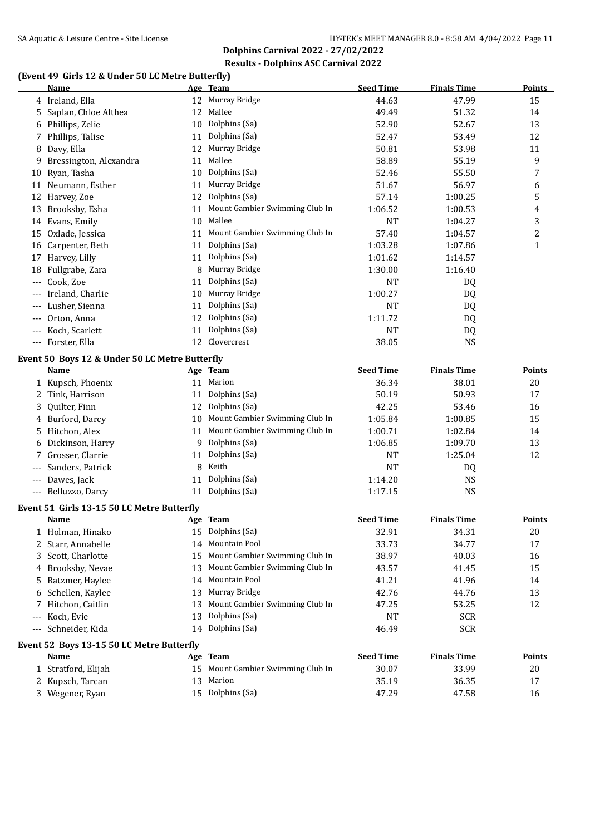**Dolphins Carnival 2022 - 27/02/2022 Results - Dolphins ASC Carnival 2022**

## **(Event 49 Girls 12 & Under 50 LC Metre Butterfly)**

|       | Name                                           |    | Age Team                          | <b>Seed Time</b> | <b>Finals Time</b> | <b>Points</b>  |
|-------|------------------------------------------------|----|-----------------------------------|------------------|--------------------|----------------|
|       | 4 Ireland, Ella                                | 12 | Murray Bridge                     | 44.63            | 47.99              | 15             |
| 5     | Saplan, Chloe Althea                           | 12 | Mallee                            | 49.49            | 51.32              | 14             |
| 6     | Phillips, Zelie                                | 10 | Dolphins (Sa)                     | 52.90            | 52.67              | 13             |
| 7     | Phillips, Talise                               | 11 | Dolphins (Sa)                     | 52.47            | 53.49              | 12             |
| 8     | Davy, Ella                                     | 12 | Murray Bridge                     | 50.81            | 53.98              | 11             |
| 9     | Bressington, Alexandra                         | 11 | Mallee                            | 58.89            | 55.19              | 9              |
| 10    | Ryan, Tasha                                    | 10 | Dolphins (Sa)                     | 52.46            | 55.50              | 7              |
|       | 11 Neumann, Esther                             | 11 | Murray Bridge                     | 51.67            | 56.97              | 6              |
|       | 12 Harvey, Zoe                                 | 12 | Dolphins (Sa)                     | 57.14            | 1:00.25            | 5              |
| 13    | Brooksby, Esha                                 | 11 | Mount Gambier Swimming Club In    | 1:06.52          | 1:00.53            | 4              |
|       | 14 Evans, Emily                                | 10 | Mallee                            | <b>NT</b>        | 1:04.27            | 3              |
| 15    | Oxlade, Jessica                                | 11 | Mount Gambier Swimming Club In    | 57.40            | 1:04.57            | $\overline{c}$ |
|       | 16 Carpenter, Beth                             | 11 | Dolphins (Sa)                     | 1:03.28          | 1:07.86            | $\mathbf{1}$   |
| 17    | Harvey, Lilly                                  | 11 | Dolphins (Sa)                     | 1:01.62          | 1:14.57            |                |
| 18    | Fullgrabe, Zara                                | 8  | Murray Bridge                     | 1:30.00          | 1:16.40            |                |
|       | Cook, Zoe                                      | 11 | Dolphins (Sa)                     | <b>NT</b>        | DQ                 |                |
|       | Ireland, Charlie                               | 10 | Murray Bridge                     | 1:00.27          | DQ                 |                |
|       | Lusher, Sienna                                 | 11 | Dolphins (Sa)                     | <b>NT</b>        | DQ                 |                |
|       | Orton, Anna                                    | 12 | Dolphins (Sa)                     | 1:11.72          | DQ                 |                |
|       | Koch, Scarlett                                 | 11 | Dolphins (Sa)                     | <b>NT</b>        | DQ                 |                |
|       | Forster, Ella                                  |    | 12 Clovercrest                    | 38.05            | <b>NS</b>          |                |
|       | Event 50 Boys 12 & Under 50 LC Metre Butterfly |    |                                   |                  |                    |                |
|       | Name                                           |    | Age Team                          | <b>Seed Time</b> | <b>Finals Time</b> | <b>Points</b>  |
|       | 1 Kupsch, Phoenix                              |    | 11 Marion                         | 36.34            | 38.01              | 20             |
| 2     | Tink, Harrison                                 | 11 | Dolphins (Sa)                     | 50.19            | 50.93              | 17             |
| 3     | Quilter, Finn                                  | 12 | Dolphins (Sa)                     | 42.25            | 53.46              | 16             |
| 4     | Burford, Darcy                                 | 10 | Mount Gambier Swimming Club In    | 1:05.84          | 1:00.85            | 15             |
| 5     | Hitchon, Alex                                  | 11 | Mount Gambier Swimming Club In    | 1:00.71          | 1:02.84            | 14             |
|       | Dickinson, Harry                               | 9  | Dolphins (Sa)                     | 1:06.85          | 1:09.70            | 13             |
|       | Grosser, Clarrie                               | 11 | Dolphins (Sa)                     | <b>NT</b>        | 1:25.04            | 12             |
| $---$ | Sanders, Patrick                               | 8  | Keith                             | NT               | DQ                 |                |
| $---$ | Dawes, Jack                                    | 11 | Dolphins (Sa)                     | 1:14.20          | <b>NS</b>          |                |
| $---$ | Belluzzo, Darcy                                | 11 | Dolphins (Sa)                     | 1:17.15          | <b>NS</b>          |                |
|       |                                                |    |                                   |                  |                    |                |
|       | Event 51 Girls 13-15 50 LC Metre Butterfly     |    |                                   |                  |                    |                |
|       | <u>Name</u>                                    |    | Age Team                          | <b>Seed Time</b> | <b>Finals Time</b> | <b>Points</b>  |
|       | 1 Holman, Hinako                               | 15 | Dolphins (Sa)                     | 32.91            | 34.31              | 20             |
|       | 2 Starr, Annabelle                             | 14 | Mountain Pool                     | 33.73            | 34.77              | 17             |
| 3.    | Scott, Charlotte                               | 15 | Mount Gambier Swimming Club In    | 38.97            | 40.03              | 16             |
| 4     | Brooksby, Nevae                                | 13 | Mount Gambier Swimming Club In    | 43.57            | 41.45              | 15             |
| 5     | Ratzmer, Haylee                                | 14 | Mountain Pool                     | 41.21            | 41.96              | 14             |
| 6     | Schellen, Kaylee                               | 13 | Murray Bridge                     | 42.76            | 44.76              | 13             |
| 7     | Hitchon, Caitlin                               | 13 | Mount Gambier Swimming Club In    | 47.25            | 53.25              | 12             |
| $---$ | Koch, Evie                                     | 13 | Dolphins (Sa)                     | NT               | <b>SCR</b>         |                |
| $---$ | Schneider, Kida                                | 14 | Dolphins (Sa)                     | 46.49            | SCR                |                |
|       | Event 52 Boys 13-15 50 LC Metre Butterfly      |    |                                   |                  |                    |                |
|       | <b>Name</b>                                    |    | Age Team                          | <b>Seed Time</b> | <b>Finals Time</b> | <b>Points</b>  |
|       | 1 Stratford, Elijah                            |    | 15 Mount Gambier Swimming Club In | 30.07            | 33.99              | 20             |
|       | 2 Kupsch, Tarcan                               | 13 | Marion                            | 35.19            | 36.35              | 17             |
|       | 3 Wegener, Ryan                                |    | 15 Dolphins (Sa)                  | 47.29            | 47.58              | 16             |
|       |                                                |    |                                   |                  |                    |                |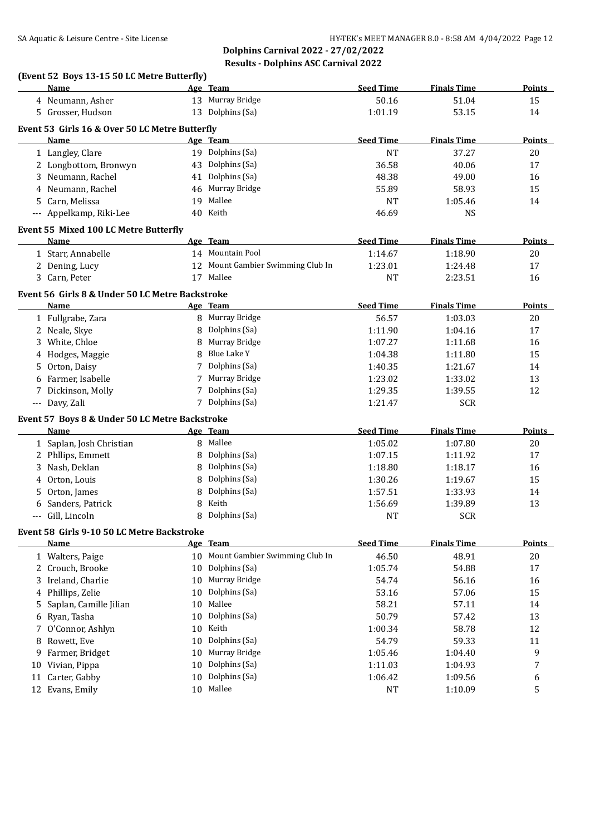**Dolphins Carnival 2022 - 27/02/2022 Results - Dolphins ASC Carnival 2022**

# **(Event 52 Boys 13-15 50 LC Metre Butterfly)**

|       | Name                                            |            | Age Team                          | <b>Seed Time</b> | <b>Finals Time</b> | Points        |
|-------|-------------------------------------------------|------------|-----------------------------------|------------------|--------------------|---------------|
|       | 4 Neumann, Asher                                |            | 13 Murray Bridge                  | 50.16            | 51.04              | 15            |
|       | 5 Grosser, Hudson                               |            | 13 Dolphins (Sa)                  | 1:01.19          | 53.15              | 14            |
|       | Event 53 Girls 16 & Over 50 LC Metre Butterfly  |            |                                   |                  |                    |               |
|       | Name                                            |            | Age Team                          | <b>Seed Time</b> | <b>Finals Time</b> | Points        |
|       | 1 Langley, Clare                                |            | 19 Dolphins (Sa)                  | <b>NT</b>        | 37.27              | $20\,$        |
|       | 2 Longbottom, Bronwyn                           |            | 43 Dolphins (Sa)                  | 36.58            | 40.06              | 17            |
|       | 3 Neumann, Rachel                               | 41         | Dolphins (Sa)                     | 48.38            | 49.00              | 16            |
|       | 4 Neumann, Rachel                               |            | 46 Murray Bridge                  | 55.89            | 58.93              | 15            |
|       | 5 Carn, Melissa                                 |            | 19 Mallee                         | <b>NT</b>        | 1:05.46            | 14            |
|       | --- Appelkamp, Riki-Lee                         |            | 40 Keith                          | 46.69            | <b>NS</b>          |               |
|       |                                                 |            |                                   |                  |                    |               |
|       | Event 55 Mixed 100 LC Metre Butterfly           |            |                                   |                  |                    |               |
|       | Name                                            |            | Age Team                          | <b>Seed Time</b> | <b>Finals Time</b> | <b>Points</b> |
|       | 1 Starr, Annabelle                              |            | 14 Mountain Pool                  | 1:14.67          | 1:18.90            | 20            |
|       | 2 Dening, Lucy                                  |            | 12 Mount Gambier Swimming Club In | 1:23.01          | 1:24.48            | 17            |
|       | 3 Carn, Peter                                   |            | 17 Mallee                         | <b>NT</b>        | 2:23.51            | 16            |
|       | Event 56 Girls 8 & Under 50 LC Metre Backstroke |            |                                   |                  |                    |               |
|       | Name                                            |            | Age Team                          | <b>Seed Time</b> | <b>Finals Time</b> | <b>Points</b> |
|       | 1 Fullgrabe, Zara                               |            | 8 Murray Bridge                   | 56.57            | 1:03.03            | 20            |
|       | 2 Neale, Skye                                   | 8          | Dolphins (Sa)                     | 1:11.90          | 1:04.16            | 17            |
| 3     | White, Chloe                                    | 8          | Murray Bridge                     | 1:07.27          | 1:11.68            | 16            |
|       | 4 Hodges, Maggie                                | 8          | Blue Lake Y                       | 1:04.38          | 1:11.80            | 15            |
|       | 5 Orton, Daisy                                  |            | Dolphins (Sa)                     | 1:40.35          | 1:21.67            | 14            |
|       | 6 Farmer, Isabelle                              |            | 7 Murray Bridge                   | 1:23.02          | 1:33.02            | 13            |
|       | 7 Dickinson, Molly                              |            | 7 Dolphins (Sa)                   | 1:29.35          | 1:39.55            | 12            |
|       | --- Davy, Zali                                  |            | 7 Dolphins (Sa)                   | 1:21.47          | <b>SCR</b>         |               |
|       | Event 57 Boys 8 & Under 50 LC Metre Backstroke  |            |                                   |                  |                    |               |
|       | Name                                            |            | Age Team                          | <b>Seed Time</b> | <b>Finals Time</b> | <b>Points</b> |
|       | 1 Saplan, Josh Christian                        |            | 8 Mallee                          | 1:05.02          | 1:07.80            |               |
|       |                                                 |            | Dolphins (Sa)                     |                  |                    | 20            |
|       | 2 Phllips, Emmett                               | 8          | Dolphins (Sa)                     | 1:07.15          | 1:11.92            | 17            |
|       | 3 Nash, Deklan                                  | 8          | Dolphins (Sa)                     | 1:18.80          | 1:18.17            | 16            |
|       | 4 Orton, Louis<br>Orton, James                  | 8          | Dolphins (Sa)                     | 1:30.26          | 1:19.67            | 15            |
| 5.    |                                                 | 8          | Keith                             | 1:57.51          | 1:33.93            | 14            |
| 6     | Sanders, Patrick                                | 8          |                                   | 1:56.69          | 1:39.89            | 13            |
| $---$ | Gill, Lincoln                                   | 8          | Dolphins (Sa)                     | <b>NT</b>        | <b>SCR</b>         |               |
|       | Event 58 Girls 9-10 50 LC Metre Backstroke      |            |                                   |                  |                    |               |
|       | <u>Name</u>                                     | <u>Age</u> | Team                              | <b>Seed Time</b> | <b>Finals Time</b> | <b>Points</b> |
|       | 1 Walters, Paige                                | 10         | Mount Gambier Swimming Club In    | 46.50            | 48.91              | 20            |
|       | 2 Crouch, Brooke                                | 10         | Dolphins (Sa)                     | 1:05.74          | 54.88              | 17            |
|       | 3 Ireland, Charlie                              | 10         | Murray Bridge                     | 54.74            | 56.16              | 16            |
| 4     | Phillips, Zelie                                 | 10         | Dolphins (Sa)                     | 53.16            | 57.06              | 15            |
| 5     | Saplan, Camille Jilian                          | 10         | Mallee                            | 58.21            | 57.11              | 14            |
| 6     | Ryan, Tasha                                     | 10         | Dolphins (Sa)                     | 50.79            | 57.42              | 13            |
| 7     | O'Connor, Ashlyn                                | 10         | Keith                             | 1:00.34          | 58.78              | 12            |
| 8     | Rowett, Eve                                     | 10         | Dolphins (Sa)                     | 54.79            | 59.33              | 11            |
| 9     | Farmer, Bridget                                 | 10         | Murray Bridge                     | 1:05.46          | 1:04.40            | 9             |
| 10    | Vivian, Pippa                                   | 10         | Dolphins (Sa)                     | 1:11.03          | 1:04.93            | 7             |
| 11    | Carter, Gabby                                   | 10         | Dolphins (Sa)                     | 1:06.42          | 1:09.56            | 6             |
|       | 12 Evans, Emily                                 | 10         | Mallee                            | <b>NT</b>        | 1:10.09            | 5             |
|       |                                                 |            |                                   |                  |                    |               |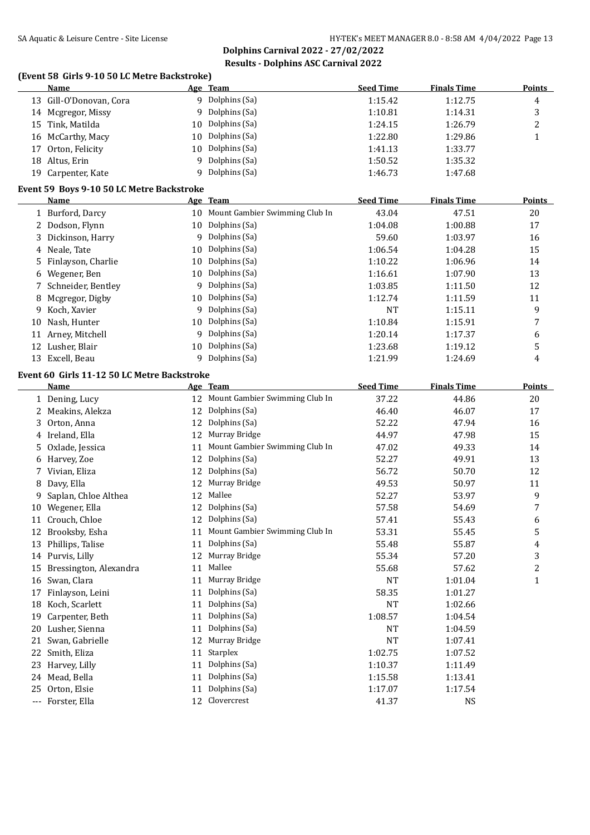**Dolphins Carnival 2022 - 27/02/2022 Results - Dolphins ASC Carnival 2022**

## **(Event 58 Girls 9-10 50 LC Metre Backstroke)**

|    | <b>Name</b>                                 |          | Age Team                          | <b>Seed Time</b> | <b>Finals Time</b> | <b>Points</b>           |
|----|---------------------------------------------|----------|-----------------------------------|------------------|--------------------|-------------------------|
|    | 13 Gill-O'Donovan, Cora                     |          | 9 Dolphins (Sa)                   | 1:15.42          | 1:12.75            | $\overline{4}$          |
|    | 14 Mcgregor, Missy                          |          | 9 Dolphins (Sa)                   | 1:10.81          | 1:14.31            | 3                       |
|    | 15 Tink, Matilda                            | 10       | Dolphins (Sa)                     | 1:24.15          | 1:26.79            | $\overline{c}$          |
|    | 16 McCarthy, Macy                           | 10       | Dolphins (Sa)                     | 1:22.80          | 1:29.86            | $\mathbf{1}$            |
| 17 | Orton, Felicity                             | 10       | Dolphins (Sa)                     | 1:41.13          | 1:33.77            |                         |
|    | 18 Altus, Erin                              | 9        | Dolphins (Sa)                     | 1:50.52          | 1:35.32            |                         |
|    | 19 Carpenter, Kate                          | 9        | Dolphins (Sa)                     | 1:46.73          | 1:47.68            |                         |
|    | Event 59 Boys 9-10 50 LC Metre Backstroke   |          |                                   |                  |                    |                         |
|    | Name                                        |          | Age Team                          | <b>Seed Time</b> | <b>Finals Time</b> | <b>Points</b>           |
|    | 1 Burford, Darcy                            |          | 10 Mount Gambier Swimming Club In | 43.04            | 47.51              | 20                      |
|    | 2 Dodson, Flynn                             |          | 10 Dolphins (Sa)                  | 1:04.08          | 1:00.88            | 17                      |
| 3  | Dickinson, Harry                            | 9        | Dolphins (Sa)                     | 59.60            | 1:03.97            | 16                      |
|    | 4 Neale, Tate                               | 10       | Dolphins (Sa)                     | 1:06.54          | 1:04.28            | 15                      |
|    | Finlayson, Charlie                          | 10       | Dolphins (Sa)                     | 1:10.22          | 1:06.96            | 14                      |
| 6  | Wegener, Ben                                | 10       | Dolphins (Sa)                     | 1:16.61          | 1:07.90            | 13                      |
| 7  | Schneider, Bentley                          | 9        | Dolphins (Sa)                     | 1:03.85          | 1:11.50            | 12                      |
| 8  | Mcgregor, Digby                             | 10       | Dolphins (Sa)                     | 1:12.74          | 1:11.59            | 11                      |
| 9  | Koch, Xavier                                | 9        | Dolphins (Sa)                     | NT               | 1:15.11            | 9                       |
| 10 | Nash, Hunter                                | 10       | Dolphins (Sa)                     | 1:10.84          | 1:15.91            | 7                       |
|    | 11 Arney, Mitchell                          | 9        | Dolphins (Sa)                     | 1:20.14          | 1:17.37            | 6                       |
|    | 12 Lusher, Blair                            | 10       | Dolphins (Sa)                     | 1:23.68          | 1:19.12            | 5                       |
|    | 13 Excell, Beau                             |          | 9 Dolphins (Sa)                   | 1:21.99          | 1:24.69            | 4                       |
|    |                                             |          |                                   |                  |                    |                         |
|    | Event 60 Girls 11-12 50 LC Metre Backstroke |          |                                   |                  |                    |                         |
|    | Name                                        |          | Age Team                          | <b>Seed Time</b> | <b>Finals Time</b> | <b>Points</b>           |
|    | 1 Dening, Lucy                              | 12       | Mount Gambier Swimming Club In    | 37.22            | 44.86              | 20                      |
|    | 2 Meakins, Alekza                           | 12       | Dolphins (Sa)                     | 46.40            | 46.07              | 17                      |
| 3  | Orton, Anna                                 | 12       | Dolphins (Sa)                     | 52.22            | 47.94              | 16                      |
|    | 4 Ireland, Ella                             | 12       | Murray Bridge                     | 44.97            | 47.98              | 15                      |
| 5  | Oxlade, Jessica                             | 11       | Mount Gambier Swimming Club In    | 47.02            | 49.33              | 14                      |
|    | 6 Harvey, Zoe                               | 12       | Dolphins (Sa)                     | 52.27            | 49.91              | 13                      |
| 7  | Vivian, Eliza                               | 12       | Dolphins (Sa)                     | 56.72            | 50.70              | 12                      |
| 8  | Davy, Ella                                  | 12       | Murray Bridge<br>Mallee           | 49.53            | 50.97              | 11                      |
| 9  | Saplan, Chloe Althea                        | 12       | Dolphins (Sa)                     | 52.27            | 53.97              | 9                       |
| 10 | Wegener, Ella                               | 12       | 12 Dolphins (Sa)                  | 57.58<br>57.41   | 54.69              | 7                       |
|    | 11 Crouch, Chloe                            |          | Mount Gambier Swimming Club In    |                  | 55.43              | 6                       |
|    | 12 Brooksby, Esha                           | 11       | Dolphins (Sa)                     | 53.31            | 55.45<br>55.87     | 5                       |
|    | 13 Phillips, Talise                         | 11       | Murray Bridge                     | 55.48            | 57.20              | 4                       |
|    | 14 Purvis, Lilly<br>Bressington, Alexandra  | 12       | Mallee                            | 55.34            |                    | 3                       |
| 15 |                                             | 11       | Murray Bridge                     | 55.68            | 57.62              | $\overline{\mathbf{c}}$ |
| 16 | Swan, Clara                                 | 11<br>11 | Dolphins (Sa)                     | NT               | 1:01.04            | $\mathbf{1}$            |
| 17 | Finlayson, Leini                            |          | Dolphins (Sa)                     | 58.35            | 1:01.27            |                         |
|    | 18 Koch, Scarlett<br>Carpenter, Beth        | 11<br>11 | Dolphins (Sa)                     | NT               | 1:02.66            |                         |
| 19 | 20 Lusher, Sienna                           |          | Dolphins (Sa)                     | 1:08.57          | 1:04.54            |                         |
|    |                                             | 11       |                                   | NT               | 1:04.59            |                         |
| 21 | Swan, Gabrielle                             | 12       | Murray Bridge<br>Starplex         | NT               | 1:07.41            |                         |
| 22 | Smith, Eliza                                | 11       | Dolphins (Sa)                     | 1:02.75          | 1:07.52            |                         |
| 23 | Harvey, Lilly                               | 11       | Dolphins (Sa)                     | 1:10.37          | 1:11.49            |                         |
| 24 | Mead, Bella                                 | 11       | Dolphins (Sa)                     | 1:15.58          | 1:13.41            |                         |
| 25 | Orton, Elsie                                | 11       | Clovercrest                       | 1:17.07          | 1:17.54            |                         |
|    | --- Forster, Ella                           | 12       |                                   | 41.37            | <b>NS</b>          |                         |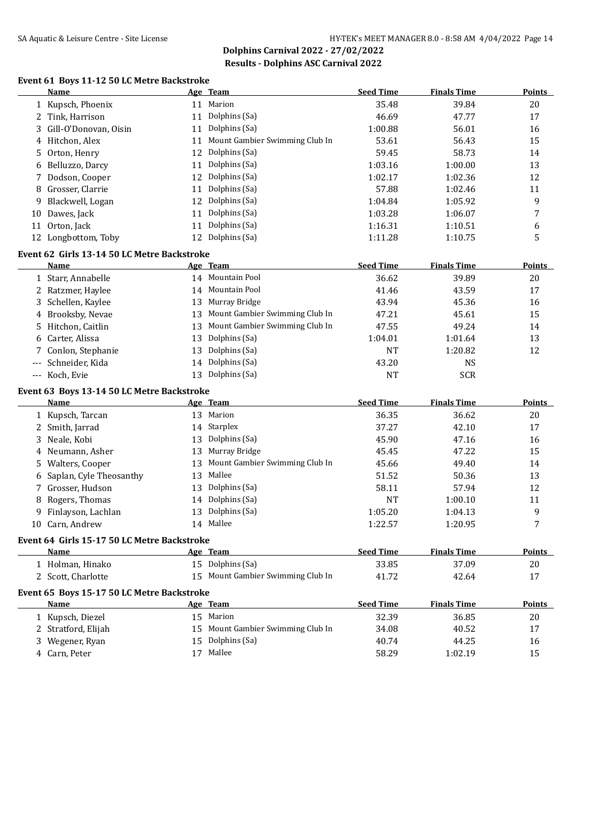**Dolphins Carnival 2022 - 27/02/2022 Results - Dolphins ASC Carnival 2022**

# **Event 61 Boys 11-12 50 LC Metre Backstroke**

|       | <b>Name</b>                                 |    | Age Team                          | <b>Seed Time</b> | <b>Finals Time</b> | <b>Points</b> |
|-------|---------------------------------------------|----|-----------------------------------|------------------|--------------------|---------------|
|       | 1 Kupsch, Phoenix                           |    | 11 Marion                         | 35.48            | 39.84              | 20            |
|       | 2 Tink, Harrison                            | 11 | Dolphins (Sa)                     | 46.69            | 47.77              | 17            |
| 3     | Gill-O'Donovan, Oisin                       | 11 | Dolphins (Sa)                     | 1:00.88          | 56.01              | 16            |
|       | 4 Hitchon, Alex                             | 11 | Mount Gambier Swimming Club In    | 53.61            | 56.43              | 15            |
| 5     | Orton, Henry                                | 12 | Dolphins (Sa)                     | 59.45            | 58.73              | 14            |
| 6     | Belluzzo, Darcy                             | 11 | Dolphins (Sa)                     | 1:03.16          | 1:00.00            | 13            |
| 7     | Dodson, Cooper                              | 12 | Dolphins (Sa)                     | 1:02.17          | 1:02.36            | 12            |
| 8     | Grosser, Clarrie                            | 11 | Dolphins (Sa)                     | 57.88            | 1:02.46            | 11            |
| 9     | Blackwell, Logan                            | 12 | Dolphins (Sa)                     | 1:04.84          | 1:05.92            | 9             |
|       | 10 Dawes, Jack                              | 11 | Dolphins (Sa)                     | 1:03.28          | 1:06.07            | 7             |
|       | 11 Orton, Jack                              | 11 | Dolphins (Sa)                     | 1:16.31          | 1:10.51            | 6             |
|       | 12 Longbottom, Toby                         | 12 | Dolphins (Sa)                     | 1:11.28          | 1:10.75            | 5             |
|       | Event 62 Girls 13-14 50 LC Metre Backstroke |    |                                   |                  |                    |               |
|       | Name                                        |    | Age Team                          | <b>Seed Time</b> | <b>Finals Time</b> | <b>Points</b> |
|       | 1 Starr, Annabelle                          |    | 14 Mountain Pool                  | 36.62            | 39.89              | 20            |
|       | 2 Ratzmer, Haylee                           | 14 | Mountain Pool                     | 41.46            | 43.59              | 17            |
|       | 3 Schellen, Kaylee                          | 13 | Murray Bridge                     | 43.94            | 45.36              | 16            |
|       | Brooksby, Nevae                             | 13 | Mount Gambier Swimming Club In    | 47.21            | 45.61              | 15            |
| 5.    | Hitchon, Caitlin                            | 13 | Mount Gambier Swimming Club In    | 47.55            | 49.24              | 14            |
| 6     | Carter, Alissa                              | 13 | Dolphins (Sa)                     | 1:04.01          | 1:01.64            | 13            |
|       | Conlon, Stephanie                           | 13 | Dolphins (Sa)                     | <b>NT</b>        | 1:20.82            | 12            |
|       | Schneider, Kida                             | 14 | Dolphins (Sa)                     | 43.20            | <b>NS</b>          |               |
| $---$ |                                             | 13 | Dolphins (Sa)                     |                  |                    |               |
| $---$ | Koch, Evie                                  |    |                                   | <b>NT</b>        | <b>SCR</b>         |               |
|       | Event 63 Boys 13-14 50 LC Metre Backstroke  |    |                                   |                  |                    |               |
|       | Name                                        |    | Age Team                          | <b>Seed Time</b> | <b>Finals Time</b> | <b>Points</b> |
|       | 1 Kupsch, Tarcan                            | 13 | Marion                            | 36.35            | 36.62              | 20            |
|       | 2 Smith, Jarrad                             | 14 | Starplex                          | 37.27            | 42.10              | 17            |
| 3     | Neale, Kobi                                 | 13 | Dolphins (Sa)                     | 45.90            | 47.16              | 16            |
|       | Neumann, Asher                              | 13 | Murray Bridge                     | 45.45            | 47.22              | 15            |
| 5.    | Walters, Cooper                             | 13 | Mount Gambier Swimming Club In    | 45.66            | 49.40              | 14            |
| 6     | Saplan, Cyle Theosanthy                     | 13 | Mallee                            | 51.52            | 50.36              | 13            |
|       | Grosser, Hudson                             | 13 | Dolphins (Sa)                     | 58.11            | 57.94              | 12            |
| 8     | Rogers, Thomas                              | 14 | Dolphins (Sa)                     | <b>NT</b>        | 1:00.10            | 11            |
| 9     | Finlayson, Lachlan                          | 13 | Dolphins (Sa)                     | 1:05.20          | 1:04.13            | 9             |
|       | 10 Carn, Andrew                             |    | 14 Mallee                         | 1:22.57          | 1:20.95            | 7             |
|       | Event 64 Girls 15-17 50 LC Metre Backstroke |    |                                   |                  |                    |               |
|       | Name                                        |    | Age Team                          | <b>Seed Time</b> | <b>Finals Time</b> | Points        |
|       | 1 Holman, Hinako                            |    | 15 Dolphins (Sa)                  | 33.85            | 37.09              | 20            |
|       | 2 Scott, Charlotte                          |    | 15 Mount Gambier Swimming Club In | 41.72            | 42.64              | 17            |
|       | Event 65 Boys 15-17 50 LC Metre Backstroke  |    |                                   |                  |                    |               |
|       | <b>Name</b>                                 |    | Age Team                          | <b>Seed Time</b> | <b>Finals Time</b> | <b>Points</b> |
|       | 1 Kupsch, Diezel                            |    | 15 Marion                         | 32.39            | 36.85              | 20            |
|       | 2 Stratford, Elijah                         |    | 15 Mount Gambier Swimming Club In | 34.08            | 40.52              | 17            |
|       | 3 Wegener, Ryan                             |    | 15 Dolphins (Sa)                  | 40.74            | 44.25              | 16            |
|       | 4 Carn, Peter                               |    | 17 Mallee                         | 58.29            | 1:02.19            | 15            |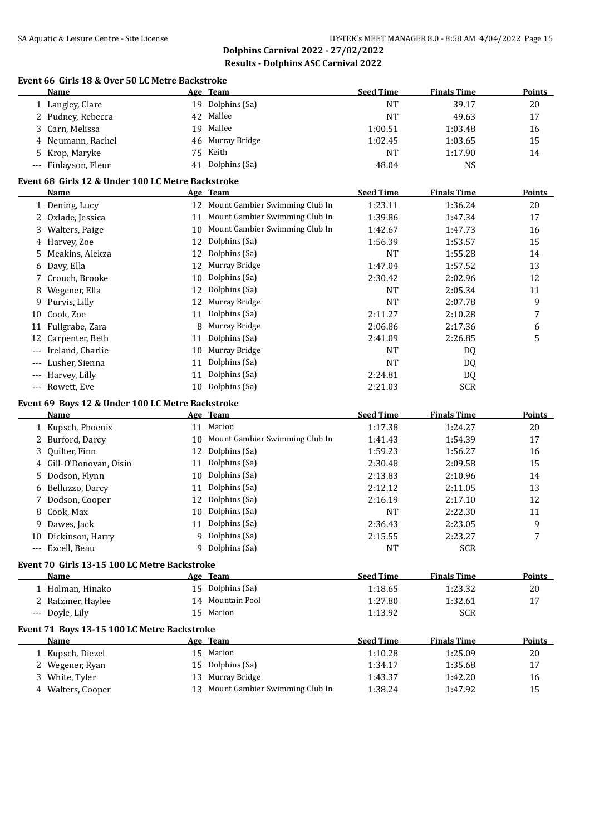**Dolphins Carnival 2022 - 27/02/2022 Results - Dolphins ASC Carnival 2022**

#### **Event 66 Girls 18 & Over 50 LC Metre Backstroke**

|          | <b>Name</b>                                       |                 | Age Team                          | <b>Seed Time</b>     | <b>Finals Time</b> | <b>Points</b> |
|----------|---------------------------------------------------|-----------------|-----------------------------------|----------------------|--------------------|---------------|
|          | 1 Langley, Clare                                  |                 | 19 Dolphins (Sa)                  | <b>NT</b>            | 39.17              | 20            |
|          | 2 Pudney, Rebecca                                 | 42              | Mallee                            | <b>NT</b>            | 49.63              | 17            |
| 3        | Carn, Melissa                                     |                 | 19 Mallee                         | 1:00.51              | 1:03.48            | 16            |
| 4        | Neumann, Rachel                                   | 46              | Murray Bridge                     | 1:02.45              | 1:03.65            | 15            |
| 5        | Krop, Maryke                                      | 75              | Keith                             | <b>NT</b>            | 1:17.90            | 14            |
| $\cdots$ | Finlayson, Fleur                                  | 41              | Dolphins (Sa)                     | 48.04                | <b>NS</b>          |               |
|          | Event 68 Girls 12 & Under 100 LC Metre Backstroke |                 |                                   |                      |                    |               |
|          | <b>Name</b>                                       |                 | Age Team                          | <b>Seed Time</b>     | <b>Finals Time</b> | <b>Points</b> |
|          | 1 Dening, Lucy                                    |                 | 12 Mount Gambier Swimming Club In | 1:23.11              | 1:36.24            | 20            |
|          | 2 Oxlade, Jessica                                 |                 | 11 Mount Gambier Swimming Club In | 1:39.86              | 1:47.34            | 17            |
|          | 3 Walters, Paige                                  |                 | 10 Mount Gambier Swimming Club In | 1:42.67              | 1:47.73            | 16            |
|          | 4 Harvey, Zoe                                     | 12              | Dolphins (Sa)                     | 1:56.39              | 1:53.57            | 15            |
|          | Meakins, Alekza                                   | 12              | Dolphins (Sa)                     | NT                   | 1:55.28            | 14            |
| 5        | Davy, Ella                                        | 12              | Murray Bridge                     | 1:47.04              | 1:57.52            | 13            |
| 6<br>7   | Crouch, Brooke                                    | 10              | Dolphins (Sa)                     | 2:30.42              | 2:02.96            | 12            |
|          | Wegener, Ella                                     | 12              | Dolphins (Sa)                     | NT                   | 2:05.34            |               |
| 8        |                                                   |                 | Murray Bridge                     |                      |                    | 11            |
| 9.       | Purvis, Lilly                                     | 12              |                                   | <b>NT</b><br>2:11.27 | 2:07.78            | 9             |
| 10       | Cook, Zoe                                         | 11              | Dolphins (Sa)                     |                      | 2:10.28            | 7             |
|          | 11 Fullgrabe, Zara                                |                 | Murray Bridge                     | 2:06.86              | 2:17.36            | 6             |
| 12       | Carpenter, Beth                                   | 11              | Dolphins (Sa)                     | 2:41.09              | 2:26.85            | 5             |
| $---$    | Ireland, Charlie                                  | 10              | Murray Bridge                     | <b>NT</b>            | DQ                 |               |
|          | Lusher, Sienna                                    | 11              | Dolphins (Sa)                     | <b>NT</b>            | DQ                 |               |
|          | Harvey, Lilly                                     | 11              | Dolphins (Sa)                     | 2:24.81              | DQ                 |               |
| $---$    | Rowett, Eve                                       | 10 <sup>1</sup> | Dolphins (Sa)                     | 2:21.03              | <b>SCR</b>         |               |
|          | Event 69 Boys 12 & Under 100 LC Metre Backstroke  |                 |                                   |                      |                    |               |
|          | Name                                              |                 | Age Team                          | <b>Seed Time</b>     | <b>Finals Time</b> | <b>Points</b> |
|          | 1 Kupsch, Phoenix                                 |                 | 11 Marion                         | 1:17.38              | 1:24.27            | 20            |
|          | 2 Burford, Darcy                                  | 10              | Mount Gambier Swimming Club In    | 1:41.43              | 1:54.39            | 17            |
| 3        | Quilter, Finn                                     | 12              | Dolphins (Sa)                     | 1:59.23              | 1:56.27            | 16            |
|          | 4 Gill-O'Donovan, Oisin                           | 11              | Dolphins (Sa)                     | 2:30.48              | 2:09.58            | 15            |
| 5.       | Dodson, Flynn                                     | 10              | Dolphins (Sa)                     | 2:13.83              | 2:10.96            | 14            |
|          | 6 Belluzzo, Darcy                                 | 11              | Dolphins (Sa)                     | 2:12.12              | 2:11.05            | 13            |
| 7        | Dodson, Cooper                                    | 12              | Dolphins (Sa)                     | 2:16.19              | 2:17.10            | 12            |
| 8        | Cook, Max                                         | 10              | Dolphins (Sa)                     | NT                   | 2:22.30            | 11            |
| 9        | Dawes, Jack                                       | 11              | Dolphins (Sa)                     | 2:36.43              | 2:23.05            | 9             |
|          | 10 Dickinson, Harry                               |                 | 9 Dolphins (Sa)                   | 2:15.55              | 2:23.27            | 7             |
|          | --- Excell, Beau                                  |                 | 9 Dolphins (Sa)                   | NT                   | <b>SCR</b>         |               |
|          | Event 70 Girls 13-15 100 LC Metre Backstroke      |                 |                                   |                      |                    |               |
|          | Name                                              |                 | Age Team                          | <b>Seed Time</b>     | <b>Finals Time</b> | <b>Points</b> |
|          | 1 Holman, Hinako                                  |                 | 15 Dolphins (Sa)                  | 1:18.65              | 1:23.32            | 20            |
|          | 2 Ratzmer, Haylee                                 |                 | 14 Mountain Pool                  | 1:27.80              | 1:32.61            | 17            |
|          | --- Doyle, Lily                                   |                 | 15 Marion                         | 1:13.92              | <b>SCR</b>         |               |
|          |                                                   |                 |                                   |                      |                    |               |
|          | Event 71 Boys 13-15 100 LC Metre Backstroke       |                 |                                   |                      |                    |               |
|          | <b>Name</b>                                       |                 | Age Team                          | <b>Seed Time</b>     | <b>Finals Time</b> | <b>Points</b> |
|          | 1 Kupsch, Diezel                                  |                 | 15 Marion                         | 1:10.28              | 1:25.09            | 20            |
|          | 2 Wegener, Ryan                                   | 15              | Dolphins (Sa)                     | 1:34.17              | 1:35.68            | 17            |
|          | 3 White, Tyler                                    |                 | 13 Murray Bridge                  | 1:43.37              | 1:42.20            | 16            |
|          | 4 Walters, Cooper                                 |                 | 13 Mount Gambier Swimming Club In | 1:38.24              | 1:47.92            | 15            |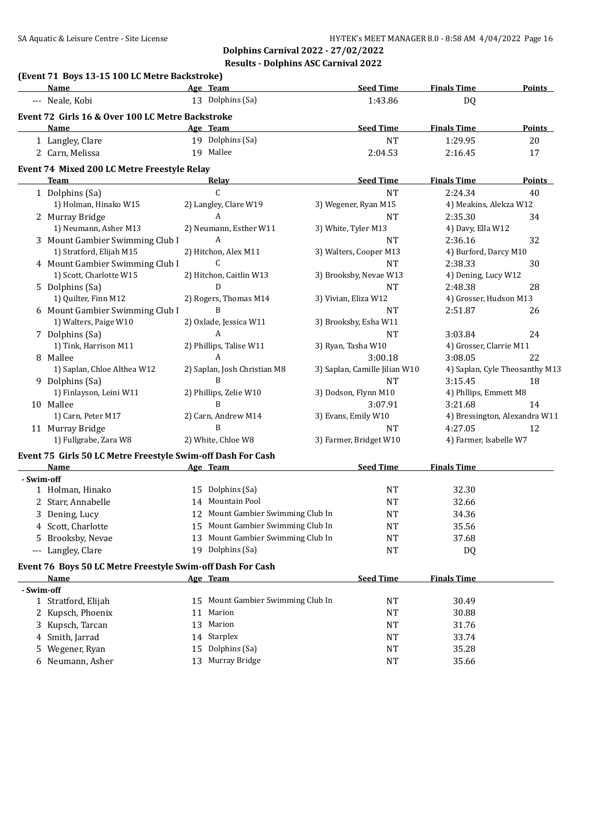|            | (Event 71 Boys 13-15 100 LC Metre Backstroke)<br>Name       | Age Team                          | <b>Seed Time</b>              | <b>Finals Time</b>      | Points                         |
|------------|-------------------------------------------------------------|-----------------------------------|-------------------------------|-------------------------|--------------------------------|
|            | --- Neale, Kobi                                             | 13 Dolphins (Sa)                  | 1:43.86                       | DQ                      |                                |
|            | Event 72 Girls 16 & Over 100 LC Metre Backstroke            |                                   |                               |                         |                                |
|            | Name                                                        | Age Team                          | <b>Seed Time</b>              | <b>Finals Time</b>      | Points                         |
|            | 1 Langley, Clare                                            | 19 Dolphins (Sa)                  | <b>NT</b>                     | 1:29.95                 | 20                             |
|            | 2 Carn, Melissa                                             | 19 Mallee                         | 2:04.53                       | 2:16.45                 | 17                             |
|            | Event 74 Mixed 200 LC Metre Freestyle Relay                 |                                   |                               |                         |                                |
|            | <b>Team</b>                                                 | Relay                             | <b>Seed Time</b>              | <b>Finals Time</b>      | Points                         |
|            | 1 Dolphins (Sa)                                             | $\mathsf C$                       | <b>NT</b>                     | 2:24.34                 | 40                             |
|            | 1) Holman, Hinako W15                                       | 2) Langley, Clare W19             | 3) Wegener, Ryan M15          | 4) Meakins, Alekza W12  |                                |
|            | 2 Murray Bridge                                             | A                                 | <b>NT</b>                     | 2:35.30                 | 34                             |
|            | 1) Neumann, Asher M13                                       | 2) Neumann, Esther W11            | 3) White, Tyler M13           | 4) Davy, Ella W12       |                                |
|            | 3 Mount Gambier Swimming Club I                             | $\mathbf{A}$                      | <b>NT</b>                     | 2:36.16                 | 32                             |
|            | 1) Stratford, Elijah M15                                    | 2) Hitchon, Alex M11              | 3) Walters, Cooper M13        | 4) Burford, Darcy M10   |                                |
|            | 4 Mount Gambier Swimming Club I                             | C                                 | <b>NT</b>                     | 2:38.33                 | 30                             |
|            | 1) Scott, Charlotte W15                                     | 2) Hitchon, Caitlin W13           | 3) Brooksby, Nevae W13        | 4) Dening, Lucy W12     |                                |
|            | 5 Dolphins (Sa)                                             | D                                 | <b>NT</b>                     | 2:48.38                 | 28                             |
|            | 1) Quilter, Finn M12                                        | 2) Rogers, Thomas M14             | 3) Vivian, Eliza W12          | 4) Grosser, Hudson M13  |                                |
|            | 6 Mount Gambier Swimming Club I                             | B                                 | <b>NT</b>                     | 2:51.87                 | 26                             |
|            | 1) Walters, Paige W10                                       | 2) Oxlade, Jessica W11            | 3) Brooksby, Esha W11         |                         |                                |
|            | 7 Dolphins (Sa)                                             | A                                 | <b>NT</b>                     | 3:03.84                 | 24                             |
|            | 1) Tink, Harrison M11                                       | 2) Phillips, Talise W11           | 3) Ryan, Tasha W10            | 4) Grosser, Clarrie M11 |                                |
|            | 8 Mallee                                                    | A                                 | 3:00.18                       | 3:08.05                 | 22                             |
|            | 1) Saplan, Chloe Althea W12                                 | 2) Saplan, Josh Christian M8      | 3) Saplan, Camille Jilian W10 |                         | 4) Saplan, Cyle Theosanthy M13 |
|            | 9 Dolphins (Sa)                                             | B                                 | <b>NT</b>                     | 3:15.45                 | 18                             |
|            | 1) Finlayson, Leini W11                                     | 2) Phillips, Zelie W10            | 3) Dodson, Flynn M10          | 4) Phllips, Emmett M8   |                                |
|            | 10 Mallee                                                   | B                                 | 3:07.91                       | 3:21.68                 | 14                             |
|            | 1) Carn, Peter M17                                          | 2) Carn, Andrew M14               | 3) Evans, Emily W10           |                         | 4) Bressington, Alexandra W11  |
|            | 11 Murray Bridge                                            | B                                 | <b>NT</b>                     | 4:27.05                 | 12                             |
|            | 1) Fullgrabe, Zara W8                                       | 2) White, Chloe W8                | 3) Farmer, Bridget W10        | 4) Farmer, Isabelle W7  |                                |
|            |                                                             |                                   |                               |                         |                                |
|            | Event 75 Girls 50 LC Metre Freestyle Swim-off Dash For Cash |                                   |                               |                         |                                |
|            | Name                                                        | Age Team                          | <b>Seed Time</b>              | <b>Finals Time</b>      |                                |
| - Swim-off |                                                             |                                   |                               |                         |                                |
|            | 1 Holman, Hinako                                            | 15 Dolphins (Sa)                  | NT                            | 32.30                   |                                |
|            | 2 Starr, Annabelle                                          | 14 Mountain Pool                  | <b>NT</b>                     | 32.66                   |                                |
|            | 3 Dening, Lucy                                              | 12 Mount Gambier Swimming Club In | <b>NT</b>                     | 34.36                   |                                |
|            | 4 Scott, Charlotte                                          | 15 Mount Gambier Swimming Club In | NT                            | 35.56                   |                                |
|            | 5 Brooksby, Nevae                                           | 13 Mount Gambier Swimming Club In | <b>NT</b>                     | 37.68                   |                                |
|            | --- Langley, Clare                                          | 19 Dolphins (Sa)                  | <b>NT</b>                     | <b>DQ</b>               |                                |
|            | Event 76 Boys 50 LC Metre Freestyle Swim-off Dash For Cash  |                                   |                               |                         |                                |
|            | Name                                                        | Age Team                          | <b>Seed Time</b>              | <b>Finals Time</b>      |                                |
| - Swim-off |                                                             |                                   |                               |                         |                                |
|            | 1 Stratford, Elijah                                         | 15 Mount Gambier Swimming Club In | <b>NT</b>                     | 30.49                   |                                |
|            | 2 Kupsch, Phoenix                                           | Marion<br>11                      | <b>NT</b>                     | 30.88                   |                                |
| 3          | Kupsch, Tarcan                                              | 13 Marion                         | <b>NT</b>                     | 31.76                   |                                |
| 4          | Smith, Jarrad                                               | 14 Starplex                       | <b>NT</b>                     | 33.74                   |                                |
| 5          | Wegener, Ryan                                               | 15 Dolphins (Sa)                  | <b>NT</b>                     | 35.28                   |                                |
|            | 6 Neumann, Asher                                            | 13 Murray Bridge                  | <b>NT</b>                     | 35.66                   |                                |